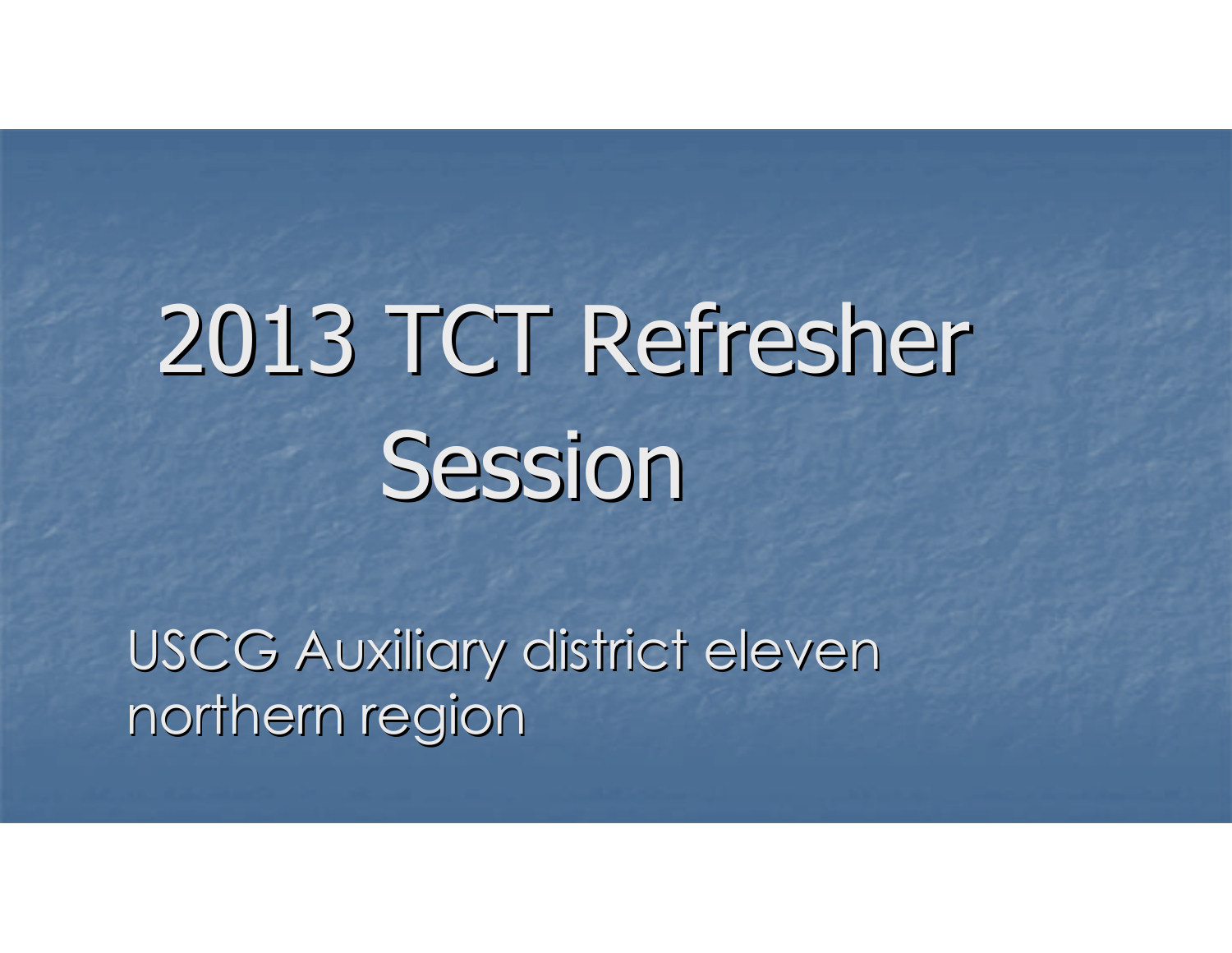## 2013 TCT Refresher **Session**

USCG Auxiliary district eleven northern region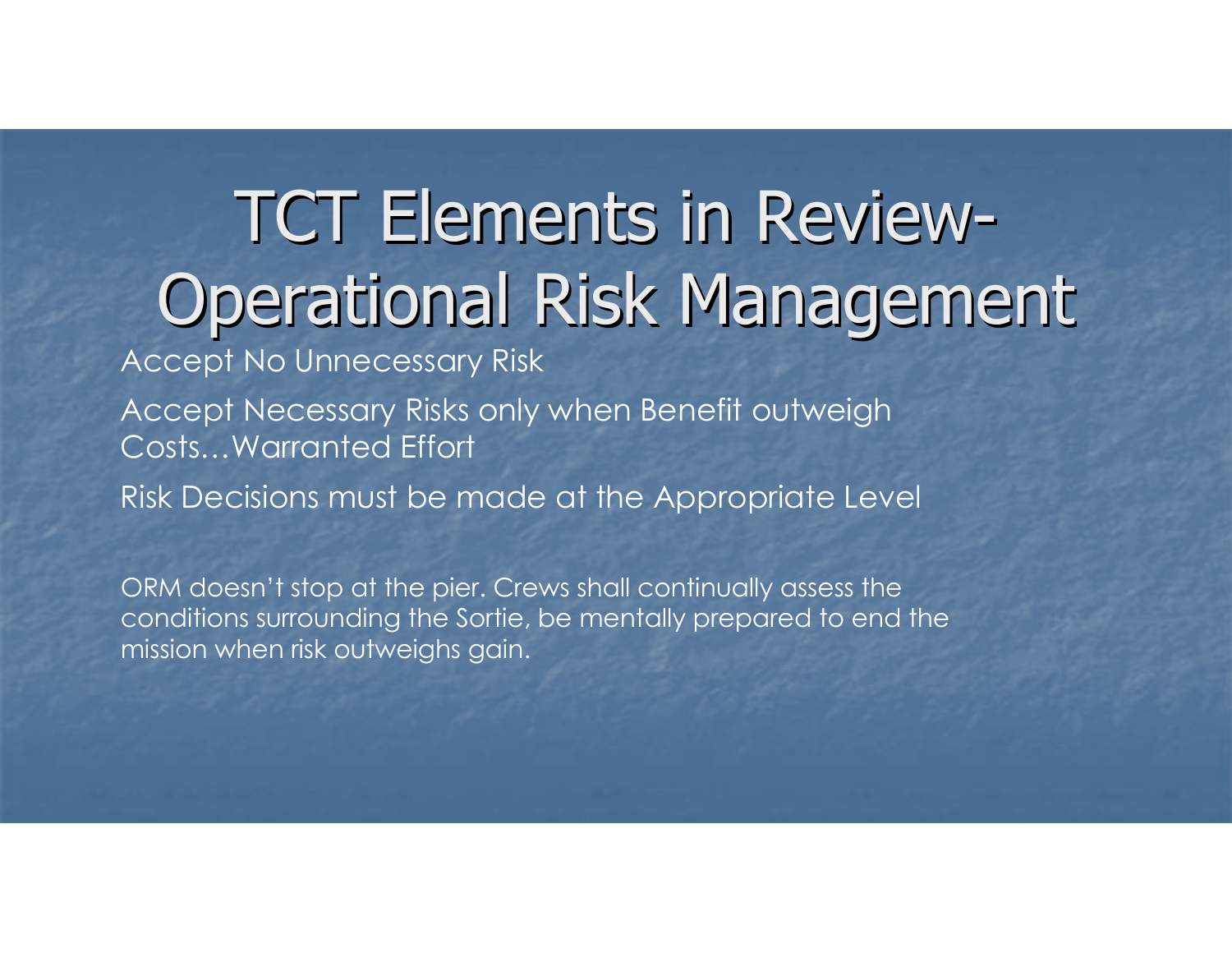#### TCT Elements in Review-Operational Risk Management

Accept No Unnecessary Risk

Accept Necessary Risks only when Benefit outweigh Costs…Warranted Effort

Risk Decisions must be made at the Appropriate Level

ORM doesn't stop at the pier. Crews shall continually assess the conditions surrounding the Sortie, be mentally prepared to end the mission when risk outweighs gain.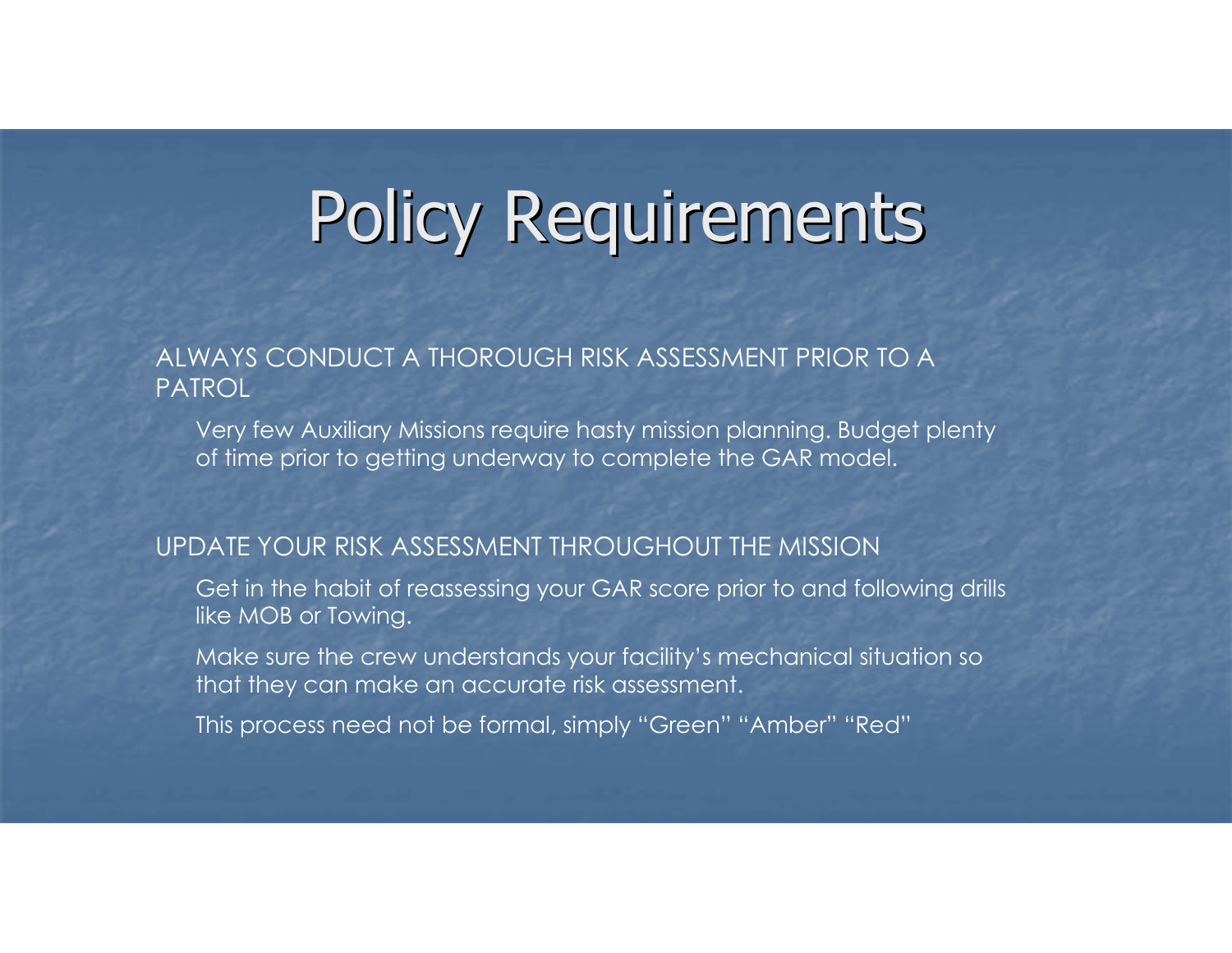## Policy Requirements

#### ALWAYS CONDUCT A THOROUGH RISK ASSESSMENT PRIOR TO A PATROL

 Very few Auxiliary Missions require hasty mission planning. Budget plenty of time prior to getting underway to complete the GAR model.

#### UPDATE YOUR RISK ASSESSMENT THROUGHOUT THE MISSION

- Get in the habit of reassessing your GAR score prior to and following drills like MOB or Towing.
- Make sure the crew understands your facility's mechanical situation so that they can make an accurate risk assessment.
- This process need not be formal, simply "Green" "Amber" "Red"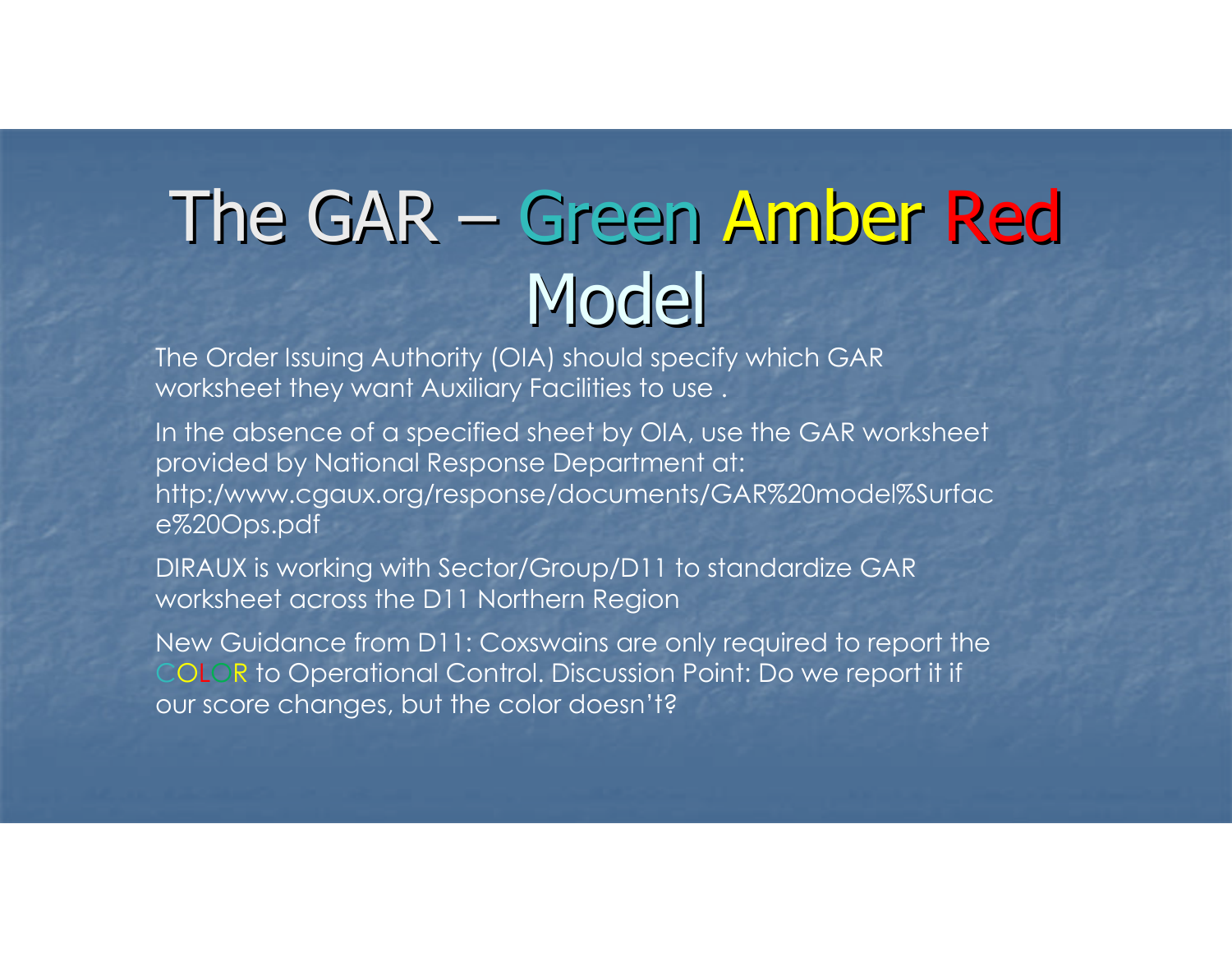## The GAR – Green Amber Red **Model**

 The Order Issuing Authority (OIA) should specify which GAR worksheet they want Auxiliary Facilities to use .

In the absence of a specified sheet by OIA, use the GAR worksheet provided by National Response Department at: http:/www.cgaux.org/response/documents/GAR%20model%Surface%20Ops.pdf

DIRAUX is working with Sector/Group/D11 to standardize GAR worksheet across the D11 Northern Region

New Guidance from D11: Coxswains are only required to report theCOLOR to Operational Control. Discussion Point: Do we report it if our score changes, but the color doesn't?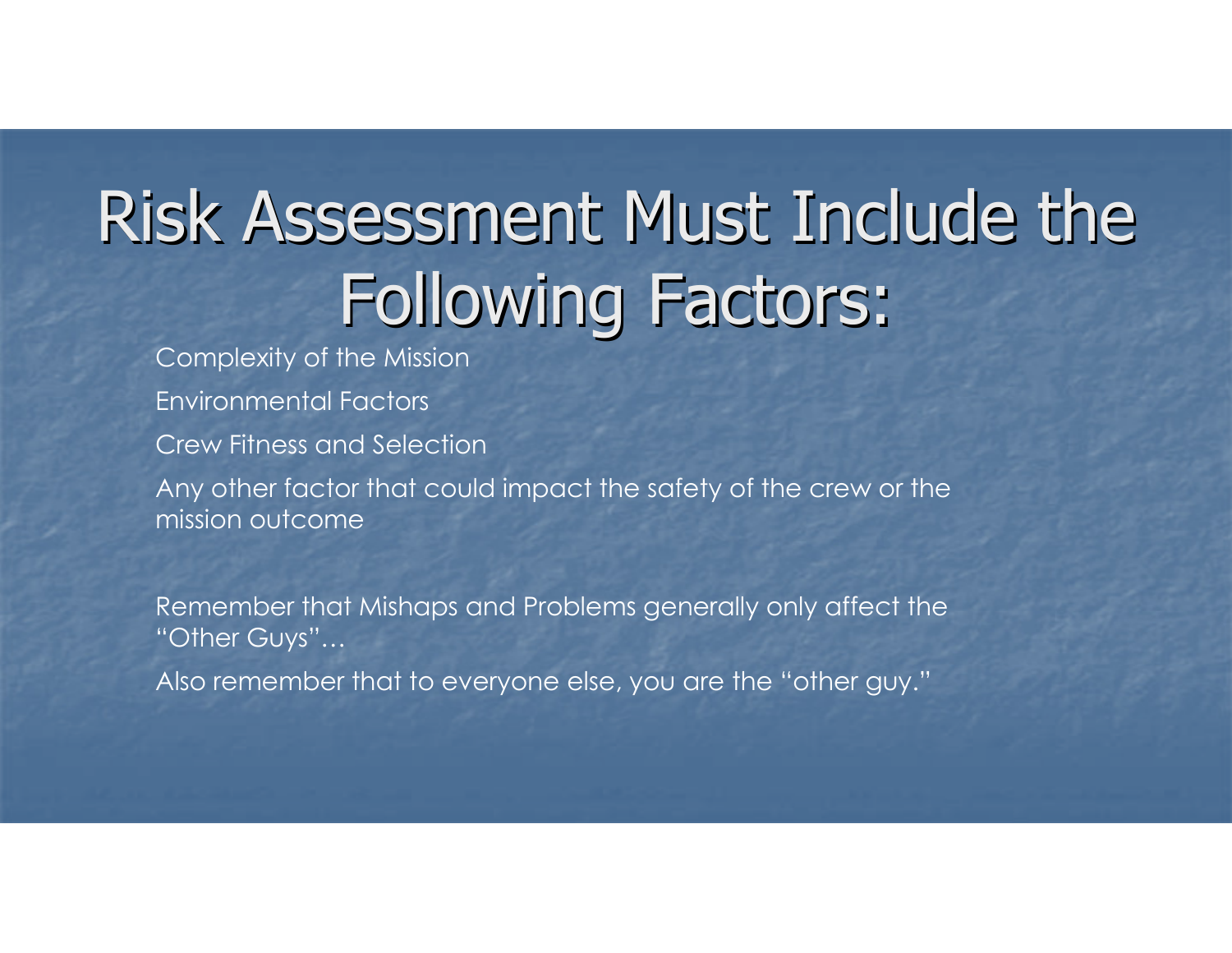## Risk Assessment Must Include the Following Factors:

Complexity of the MissionEnvironmental FactorsCrew Fitness and SelectionAny other factor that could impact the safety of the crew or themission outcome

Remember that Mishaps and Problems generally only affect the "Other Guys"…

Also remember that to everyone else, you are the "other guy."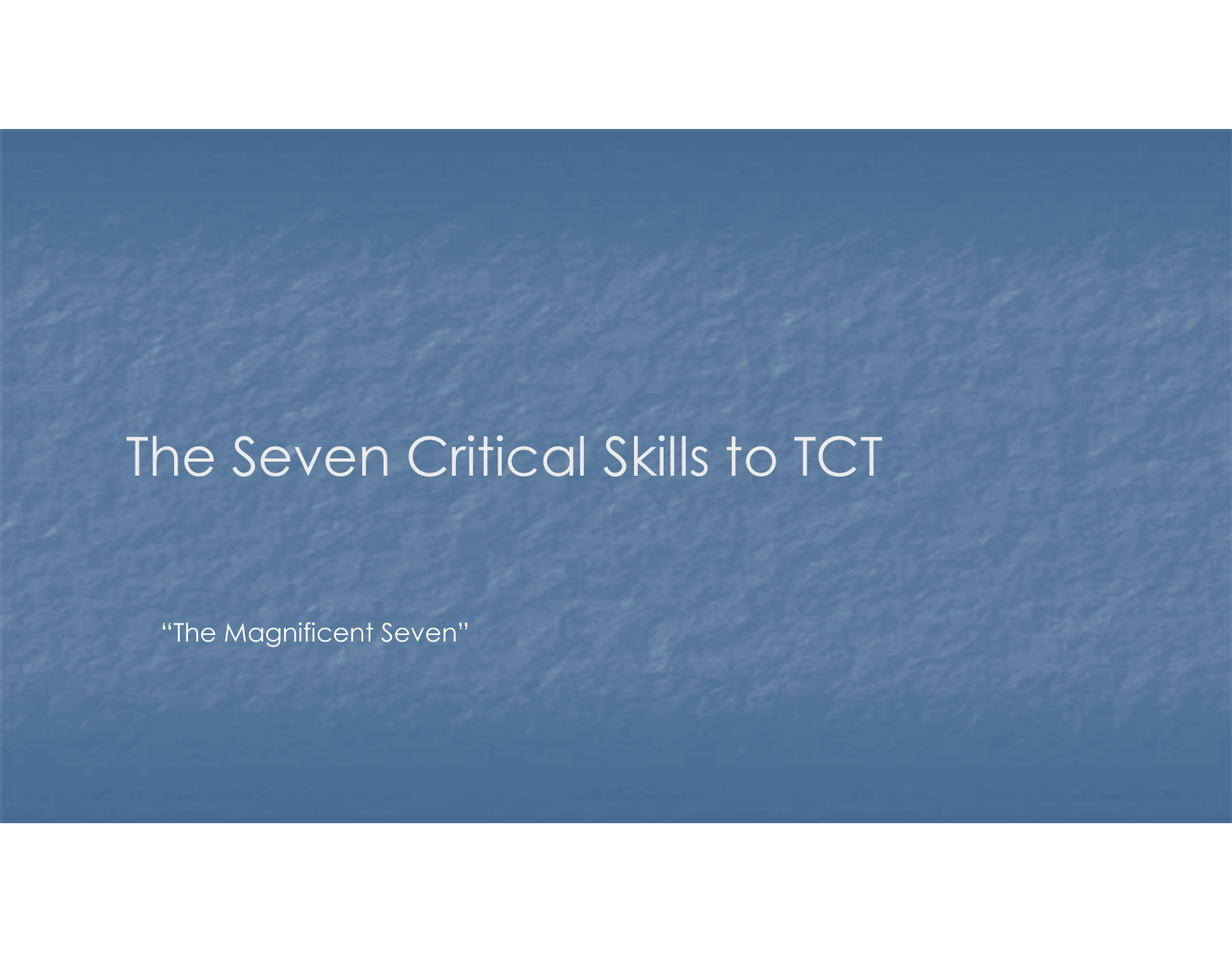### The Seven Critical Skills to TCT

"The Magnificent Seven"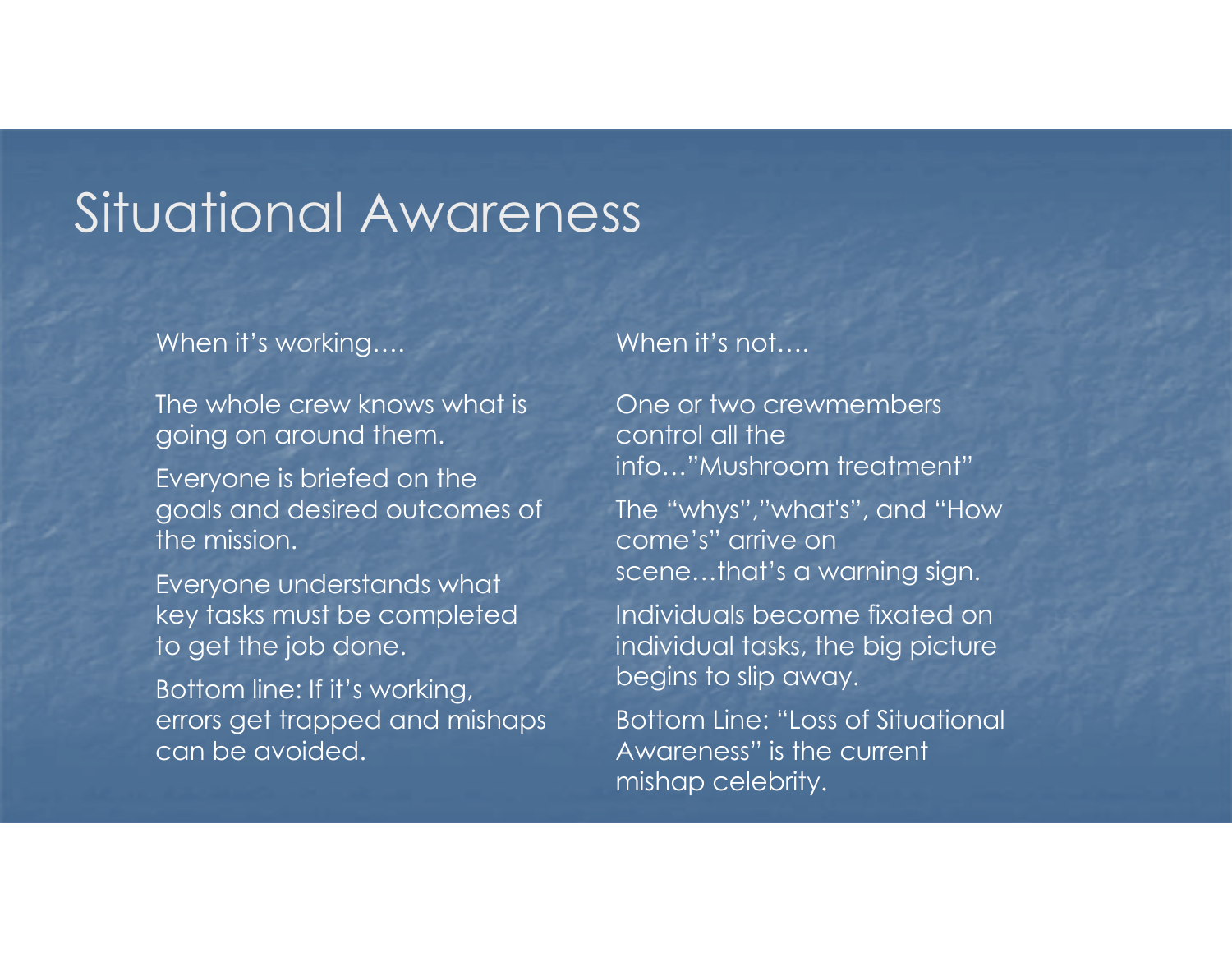### Situational Awareness

#### When it's working....

The whole crew knows what is going on around them.

Everyone is briefed on the goals and desired outcomes of the mission.

Everyone understands what key tasks must be completed to get the job done.

Bottom line: If it's working, errors get trapped and mishaps can be avoided.

When it's not....

One or two crewmembers control all the info…"Mushroom treatment"

The "whys","what's", and "How come's" arrive on scene…that's a warning sign.

Individuals become fixated on individual tasks, the big picture begins to slip away.

Bottom Line: "Loss of Situational Awareness" is the current mishap celebrity.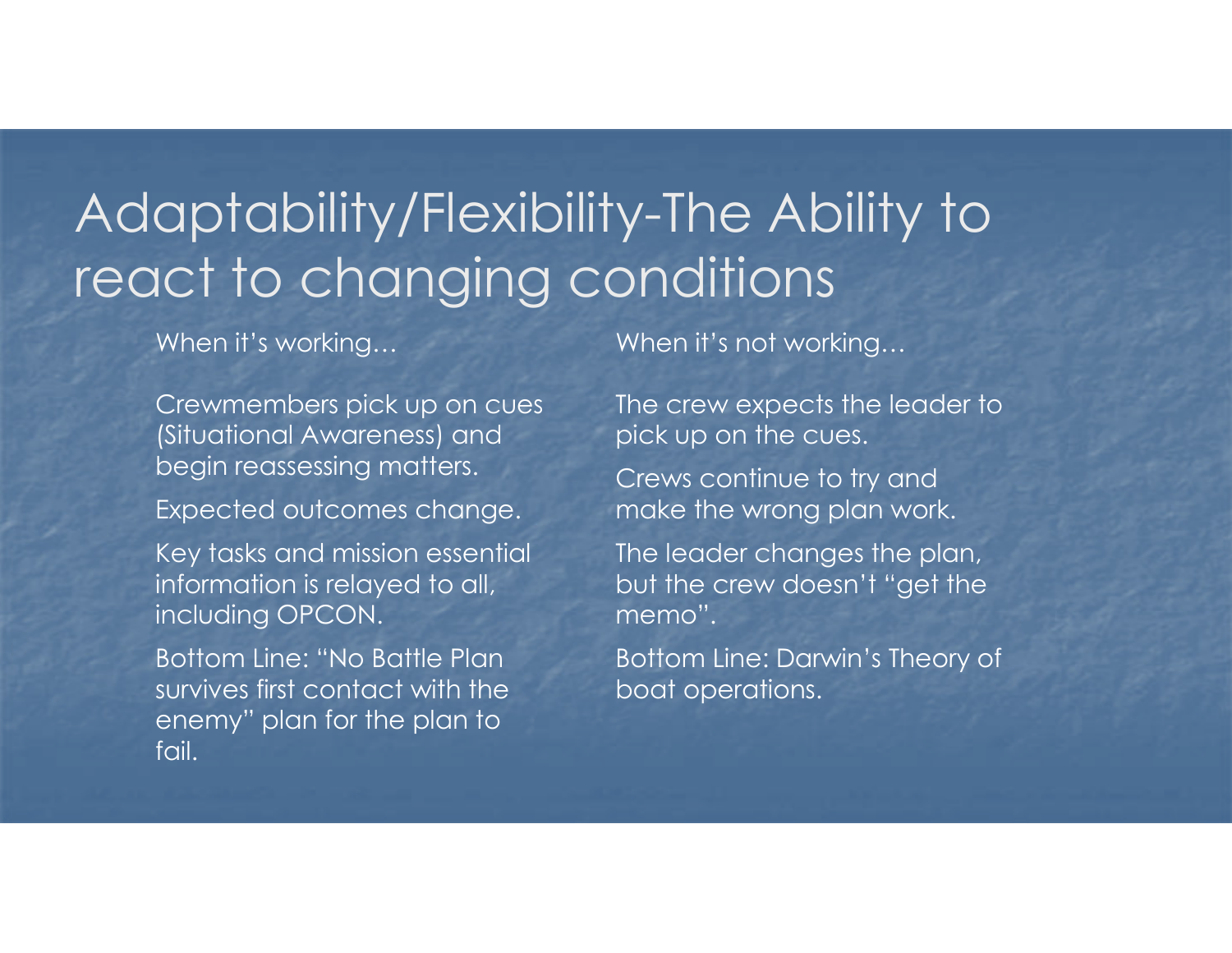### Adaptability/Flexibility-The Ability to react to changing conditions

When it's working…

Crewmembers pick up on cues (Situational Awareness) and begin reassessing matters.

Expected outcomes change.

Key tasks and mission essential information is relayed to all, including OPCON.

Bottom Line: "No Battle Plan survives first contact with the enemy" plan for the plan to fail.

When it's not working…

The crew expects the leader to pick up on the cues.

Crews continue to try and make the wrong plan work.

The leader changes the plan, but the crew doesn't "get the memo".

Bottom Line: Darwin's Theory of boat operations.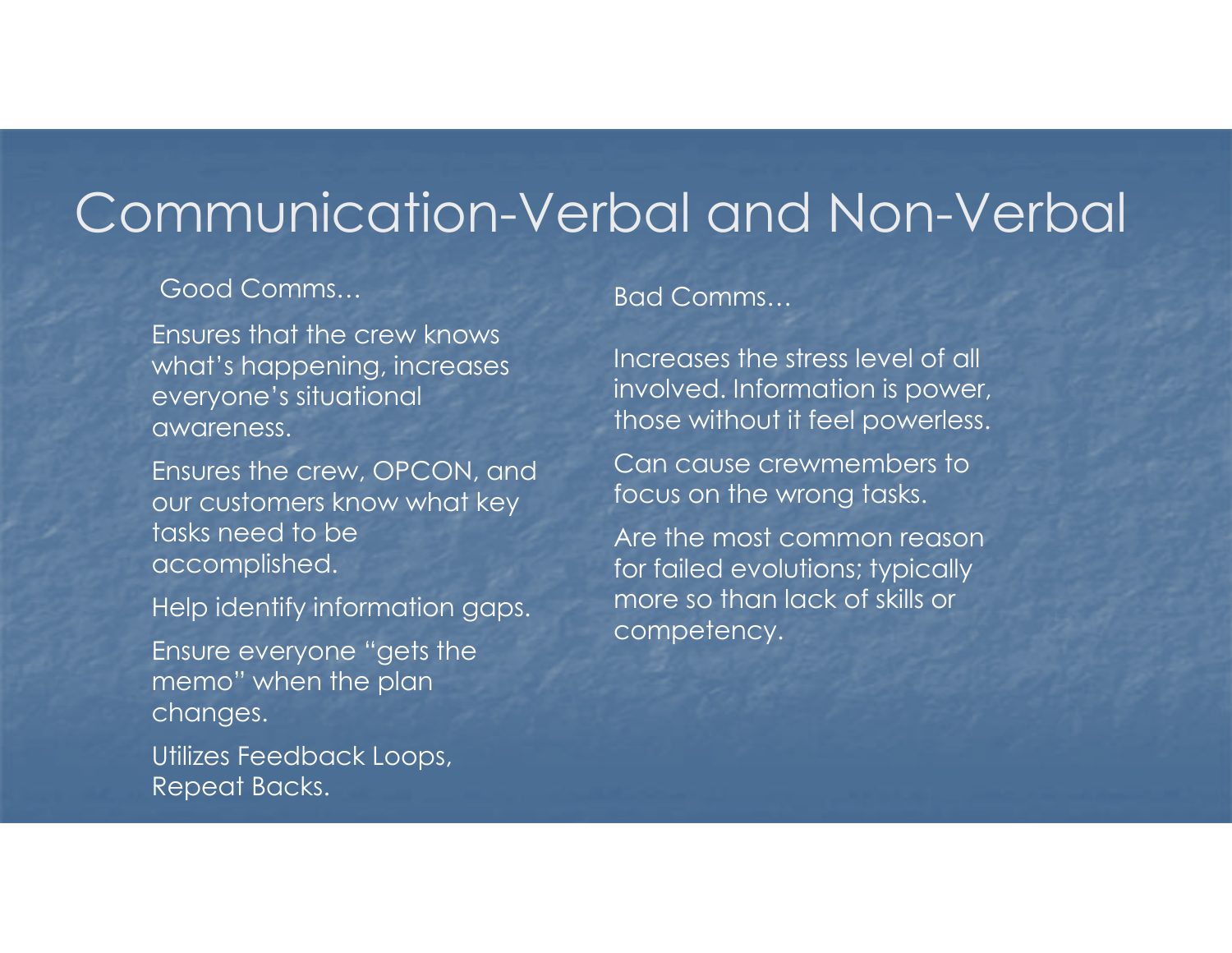### Communication-Verbal and Non-Verbal

#### Good Comms…

Ensures that the crew knows what's happening, increases everyone's situational awareness.

Ensures the crew, OPCON, and our customers know what key tasks need to be accomplished.

Help identify information gaps.

Ensure everyone "gets the memo" when the plan changes.

Utilizes Feedback Loops, Repeat Backs.

#### Bad Comms…

Increases the stress level of all involved. Information is power, those without it feel powerless.

Can cause crewmembers to focus on the wrong tasks.

Are the most common reason for failed evolutions; typically more so than lack of skills or competency.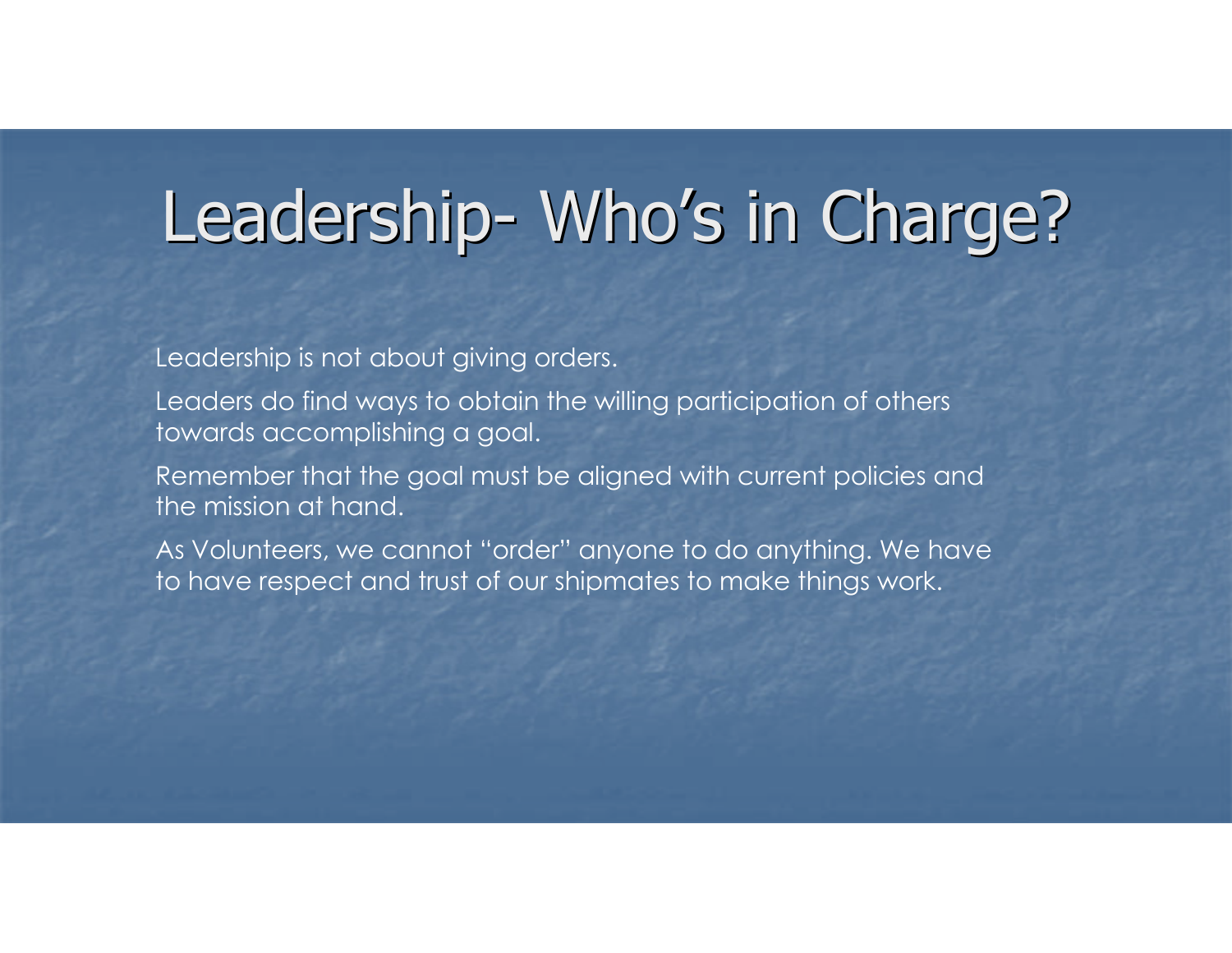## Leadership- Who's in Charge?

Leadership is not about giving orders.

Leaders do find ways to obtain the willing participation of others towards accomplishing a goal.

Remember that the goal must be aligned with current policies andthe mission at hand.

As Volunteers, we cannot "order" anyone to do anything. We have to have respect and trust of our shipmates to make things work.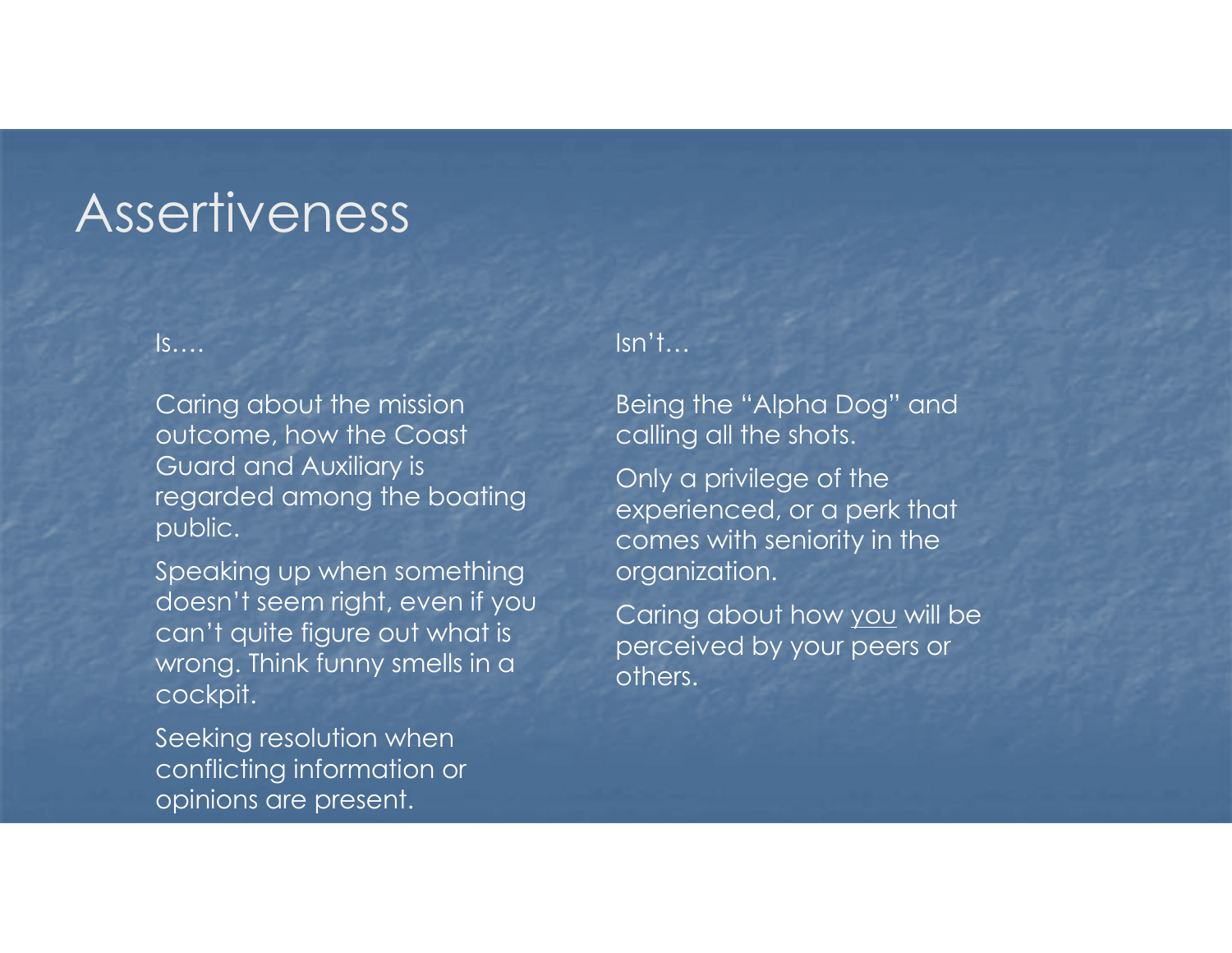### **Assertiveness**

#### Is….

Caring about the mission outcome, how the Coast Guard and Auxiliary is regarded among the boating public.

Speaking up when something doesn't seem right, even if you can't quite figure out what is wrong. Think funny smells in a cockpit.

Seeking resolution when conflicting information or opinions are present.

#### Isn't…

Being the "Alpha Dog" and calling all the shots.

Only a privilege of the experienced, or a perk that comes with seniority in the organization.

Caring about how <u>you</u> will be **change in the last of the container** perceived by your peers or others.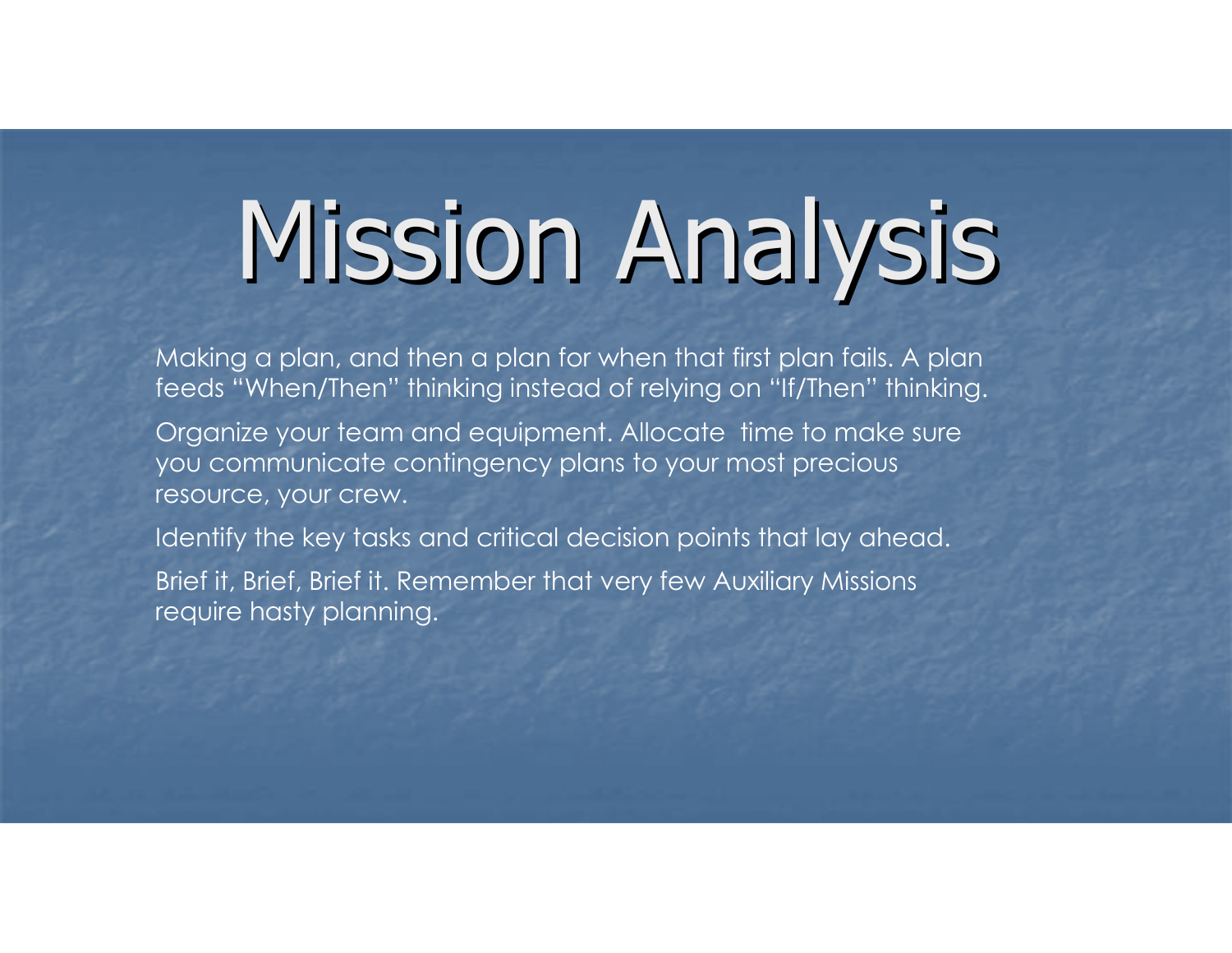## Mission Analysis

Making a plan, and then a plan for when that first plan fails. A plan feeds "When/Then" thinking instead of relying on "If/Then" thinking.

Organize your team and equipment. Allocate time to make sure you communicate contingency plans to your most precious resource, your crew.

Identify the key tasks and critical decision points that lay ahead.

Brief it, Brief, Brief it. Remember that very few Auxiliary Missions require hasty planning.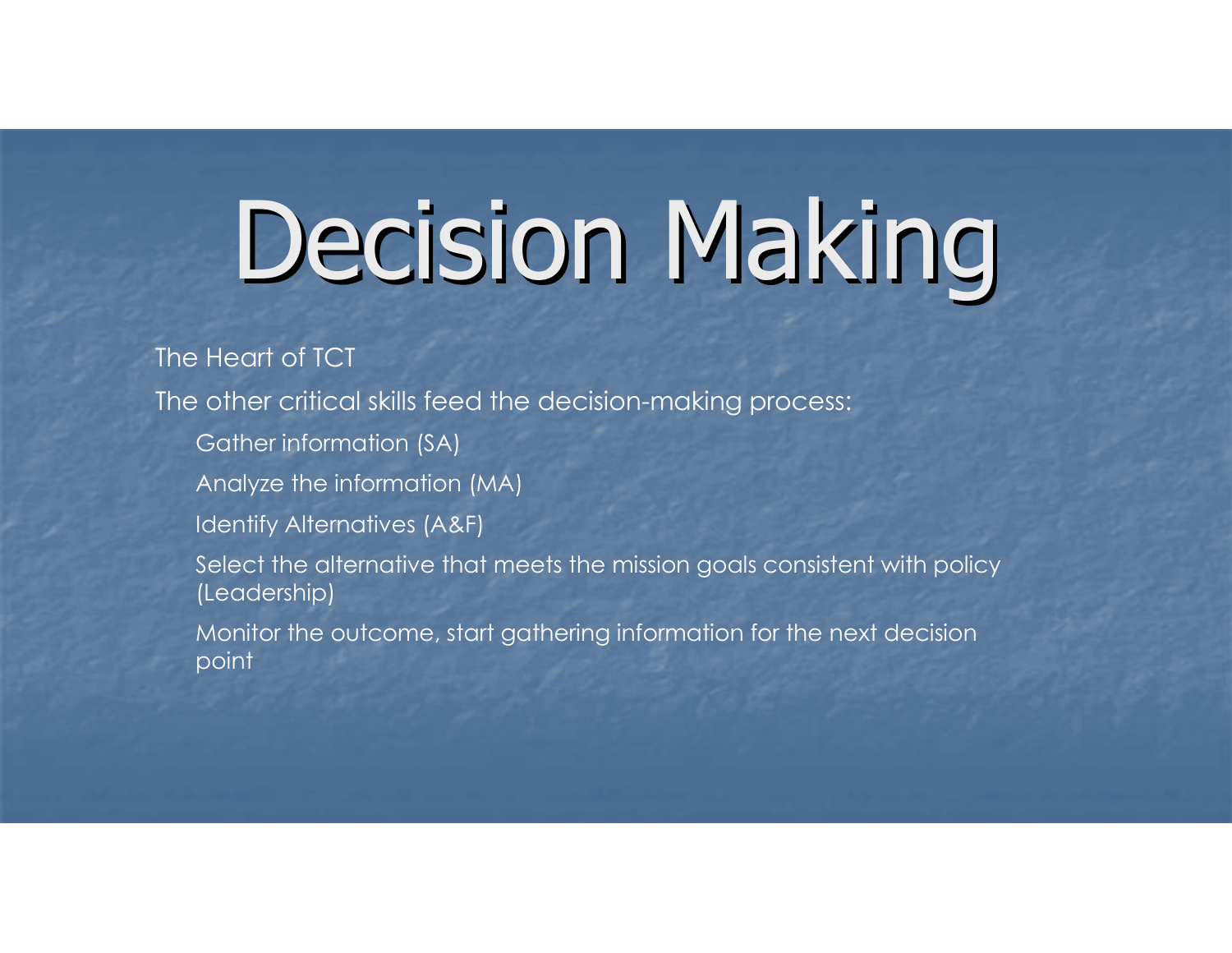## Decision Making

The Heart of TCT

The other critical skills feed the decision-making process:

- Gather information (SA)
- Analyze the information (MA)
- Identify Alternatives (A&F)

 Select the alternative that meets the mission goals consistent with policy (Leadership)

 Monitor the outcome, start gathering information for the next decision point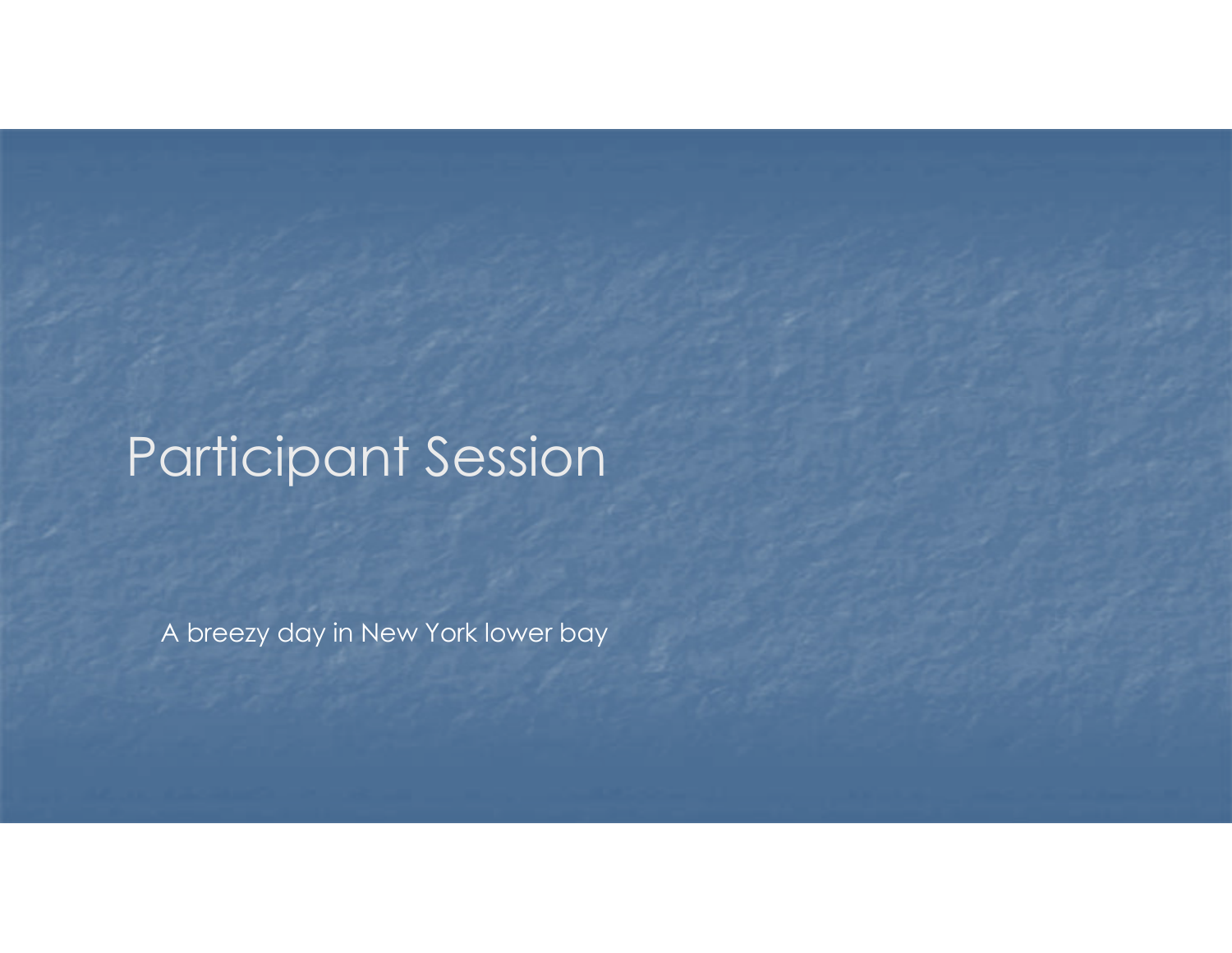### Participant Session

A breezy day in New York lower bay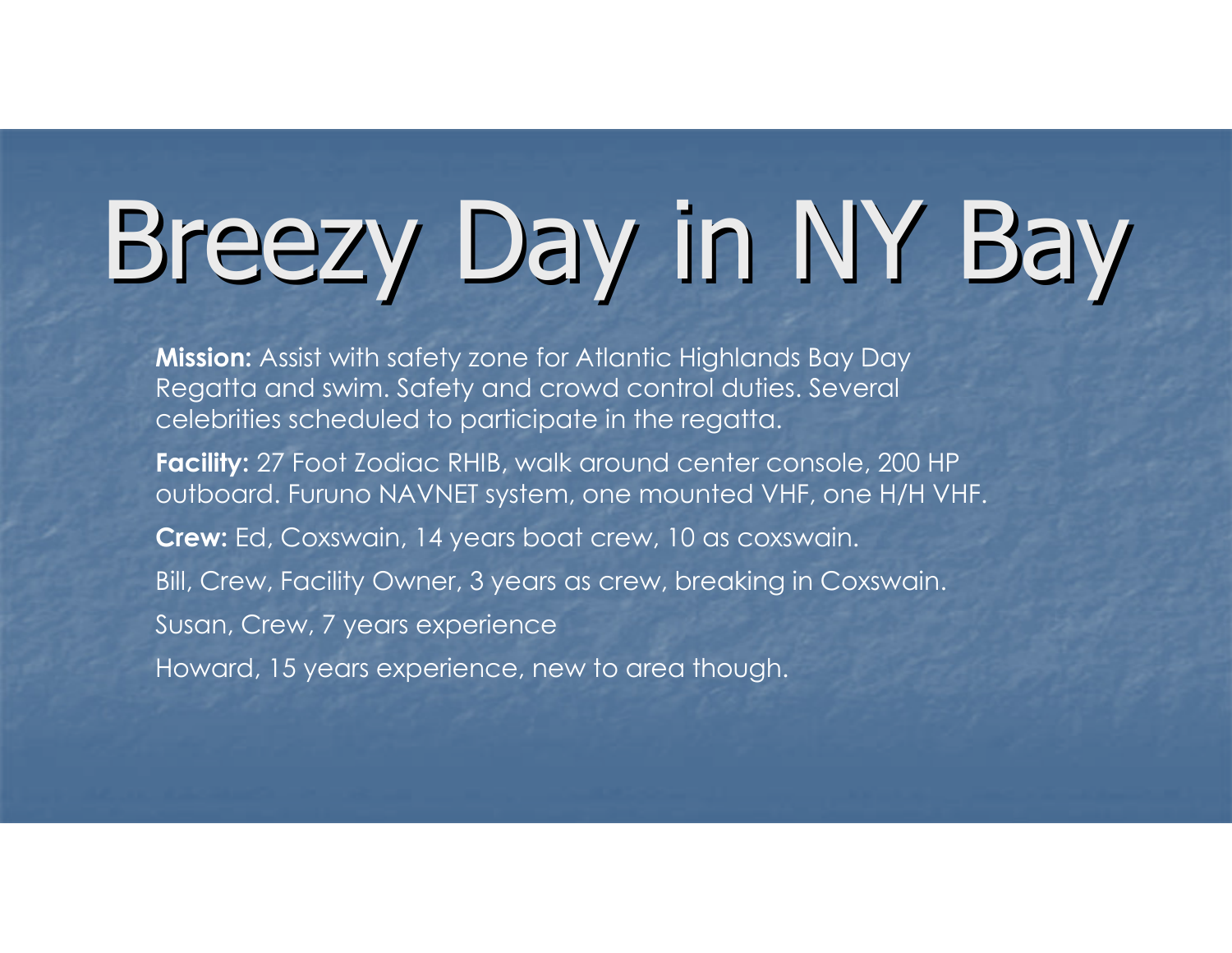Mission: Assist with safety zone for Atlantic Highlands Bay Day Regatta and swim. Safety and crowd control duties. Several celebrities scheduled to participate in the regatta.

Facility: 27 Foot Zodiac RHIB, walk around center console, 200 HP outboard. Furuno NAVNET system, one mounted VHF, one H/H VHF.

Crew: Ed, Coxswain, 14 years boat crew, 10 as coxswain.

Bill, Crew, Facility Owner, 3 years as crew, breaking in Coxswain.

Susan, Crew, 7 years experience

Howard, 15 years experience, new to area though.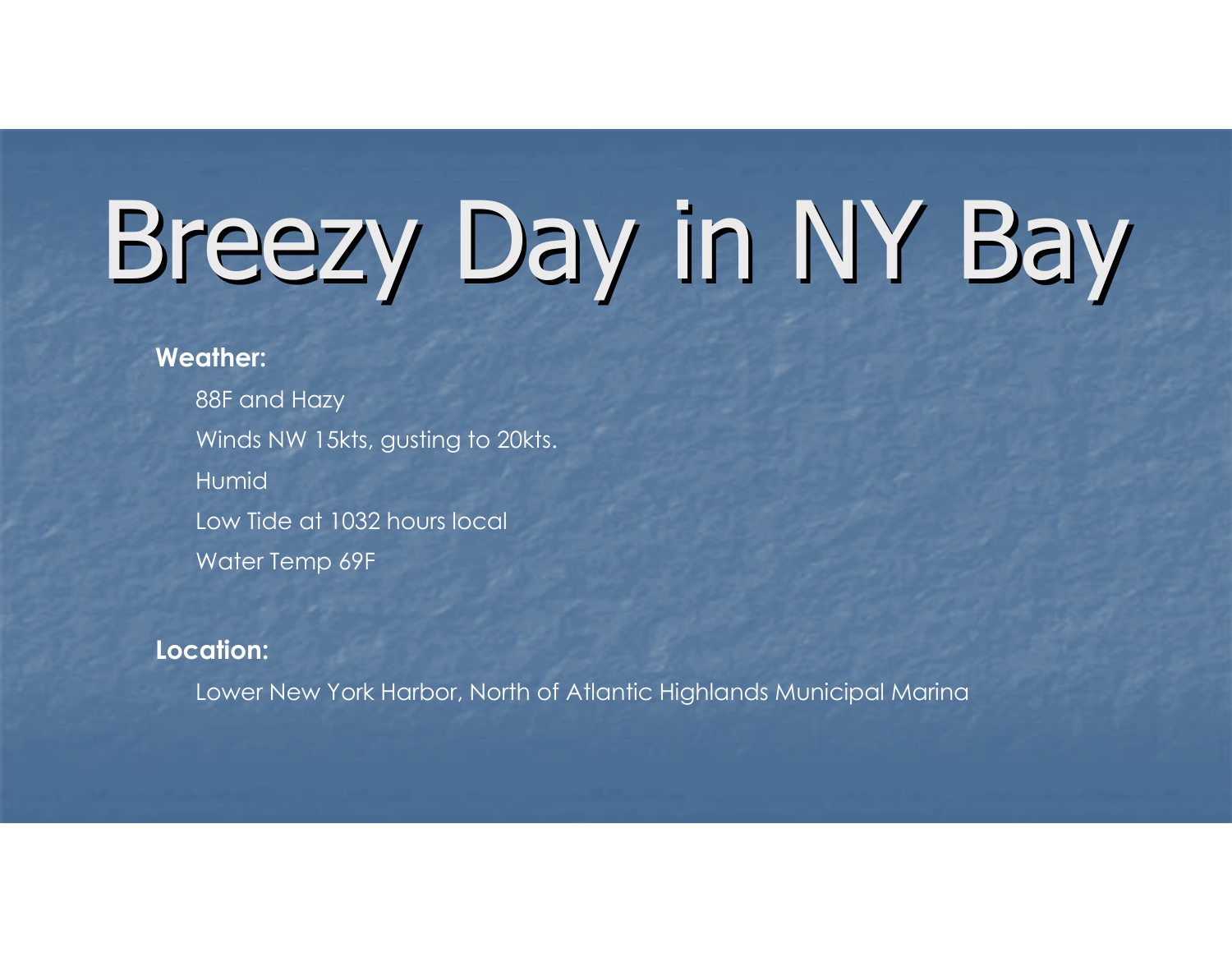#### Weather:

 88F and Hazy Winds NW 15kts, gusting to 20kts. Humid Low Tide at 1032 hours local Water Temp 69F

#### Location:

Lower New York Harbor, North of Atlantic Highlands Municipal Marina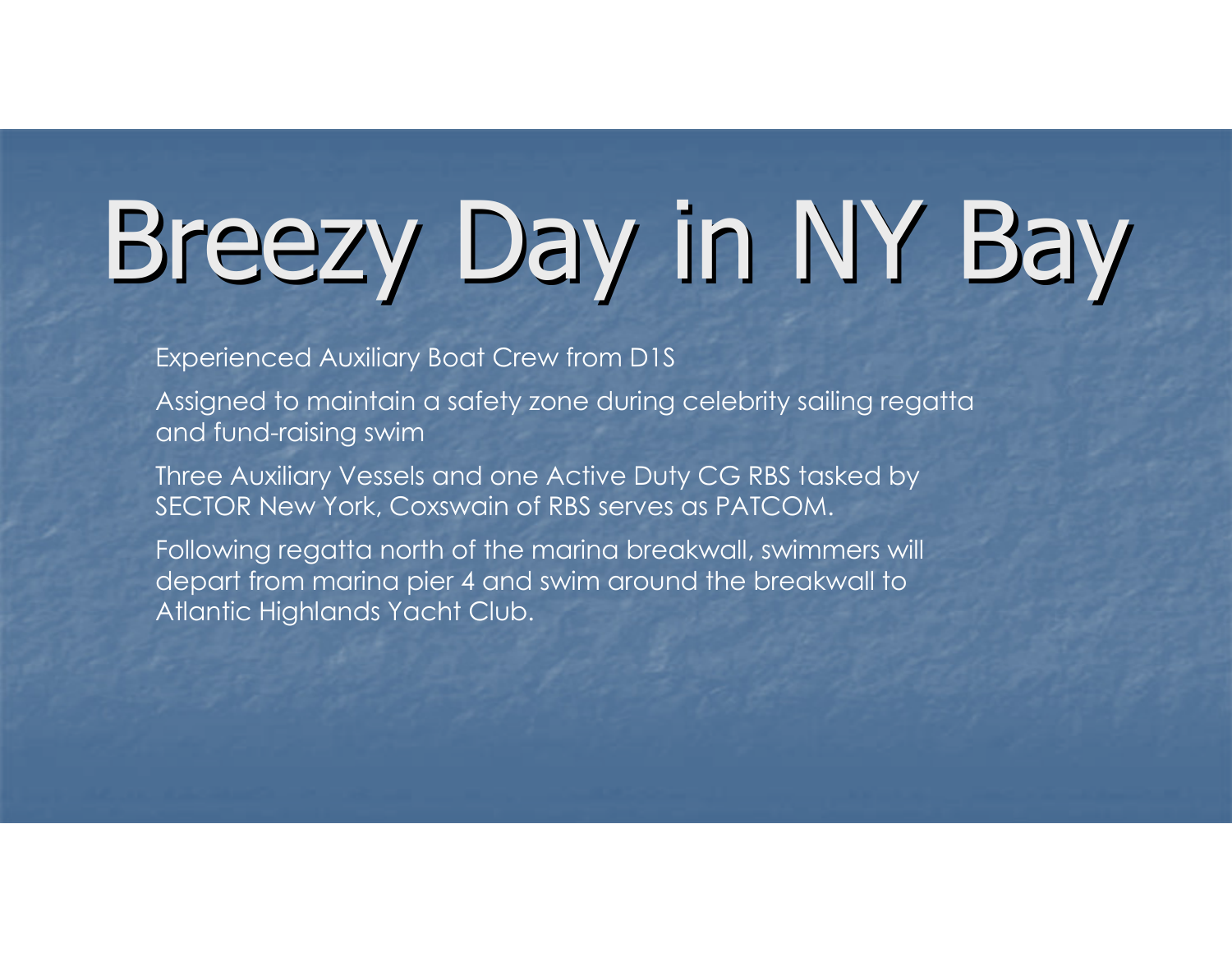Experienced Auxiliary Boat Crew from D1S

Assigned to maintain a safety zone during celebrity sailing regatta and fund-raising swim

 Three Auxiliary Vessels and one Active Duty CG RBS tasked by SECTOR New York, Coxswain of RBS serves as PATCOM.

Following regatta north of the marina breakwall, swimmers will depart from marina pier 4 and swim around the breakwall to Atlantic Highlands Yacht Club.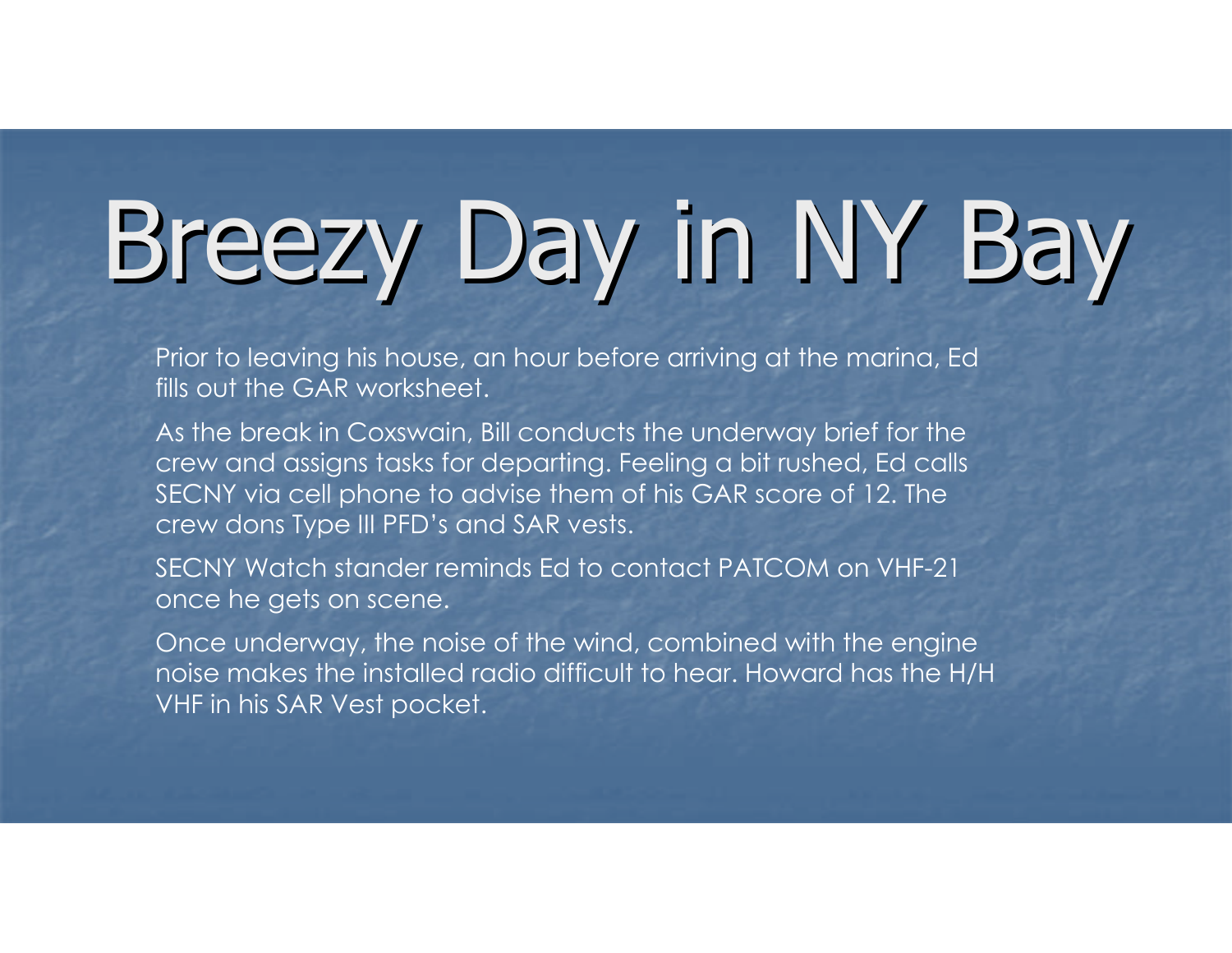Prior to leaving his house, an hour before arriving at the marina, Ed fills out the GAR worksheet.

As the break in Coxswain, Bill conducts the underway brief for the crew and assigns tasks for departing. Feeling a bit rushed, Ed calls SECNY via cell phone to advise them of his GAR score of 12. The crew dons Type III PFD's and SAR vests.

SECNY Watch stander reminds Ed to contact PATCOM on VHF-21 once he gets on scene.

Once underway, the noise of the wind, combined with the engine noise makes the installed radio difficult to hear. Howard has the H/H VHF in his SAR Vest pocket.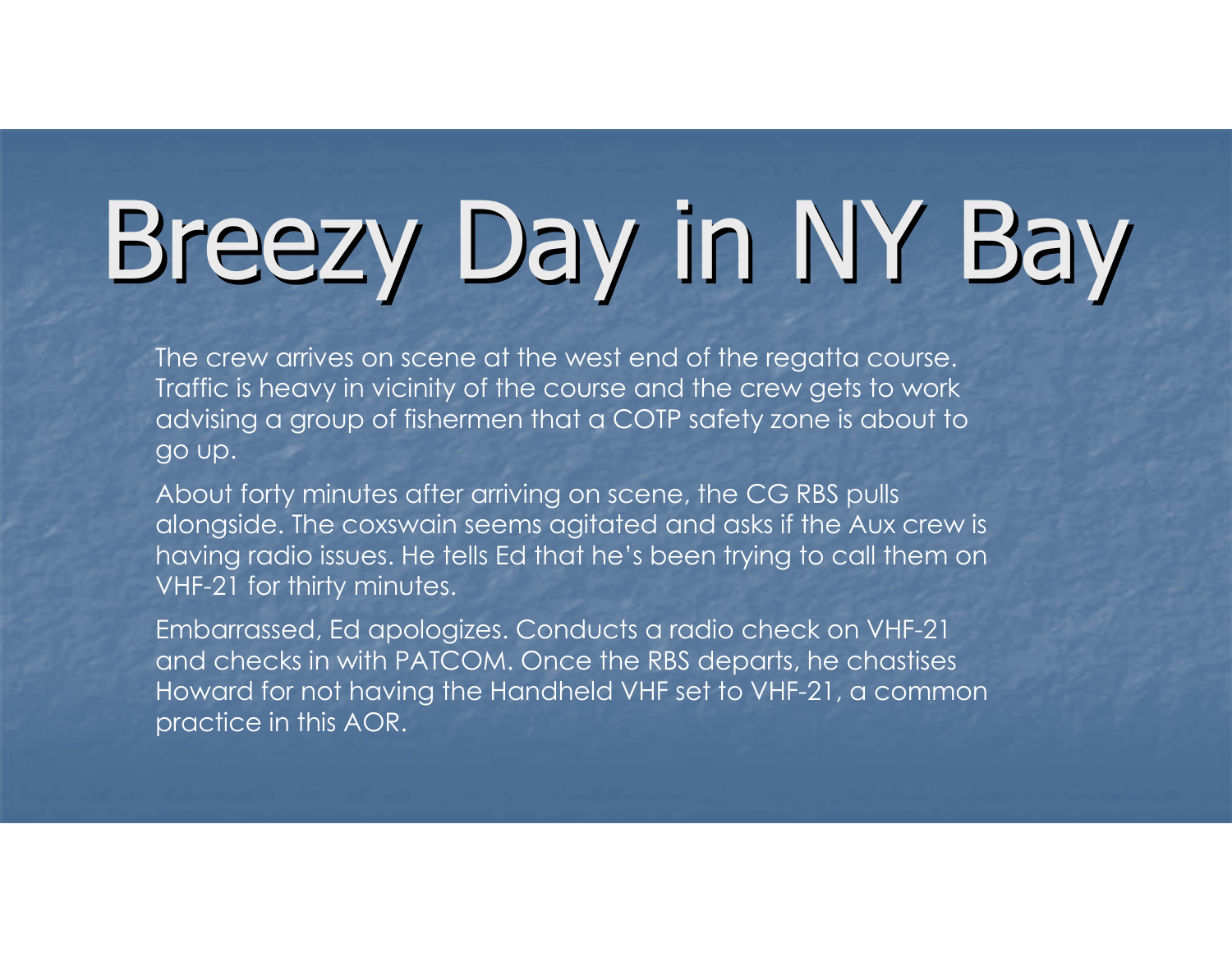The crew arrives on scene at the west end of the regatta course. Traffic is heavy in vicinity of the course and the crew gets to work advising a group of fishermen that a COTP safety zone is about to go up.

About forty minutes after arriving on scene, the CG RBS pulls alongside. The coxswain seems agitated and asks if the Aux crew is having radio issues. He tells Ed that he's been trying to call them on VHF-21 for thirty minutes.

Embarrassed, Ed apologizes. Conducts a radio check on VHF-21 and checks in with PATCOM. Once the RBS departs, he chastises Howard for not having the Handheld VHF set to VHF-21, a common practice in this AOR.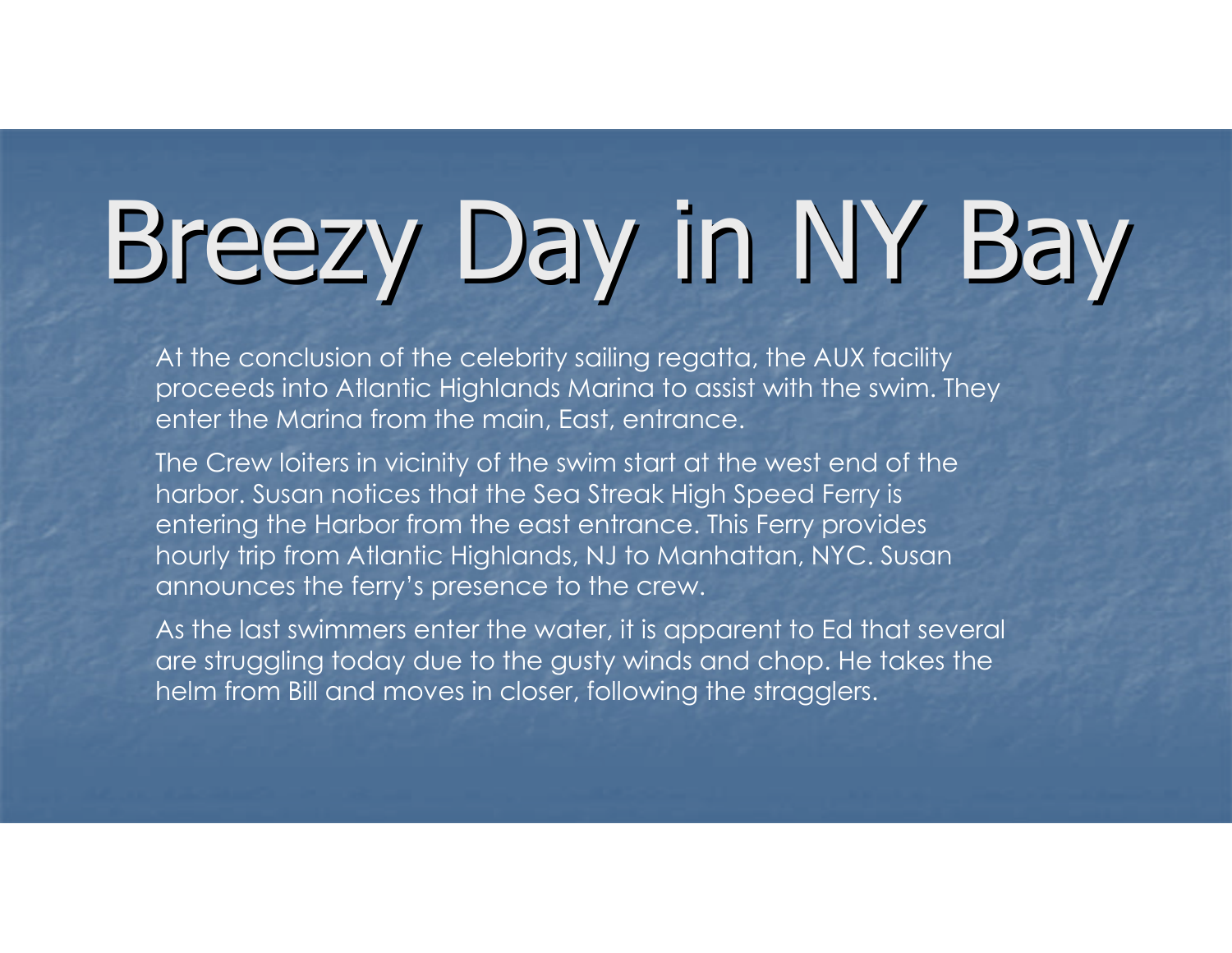At the conclusion of the celebrity sailing regatta, the AUX facility proceeds into Atlantic Highlands Marina to assist with the swim. They enter the Marina from the main, East, entrance.

The Crew loiters in vicinity of the swim start at the west end of the harbor. Susan notices that the Sea Streak High Speed Ferry is entering the Harbor from the east entrance. This Ferry provides hourly trip from Atlantic Highlands, NJ to Manhattan, NYC. Susanannounces the ferry's presence to the crew.

As the last swimmers enter the water, it is apparent to Ed that several are struggling today due to the gusty winds and chop. He takes the helm from Bill and moves in closer, following the stragglers.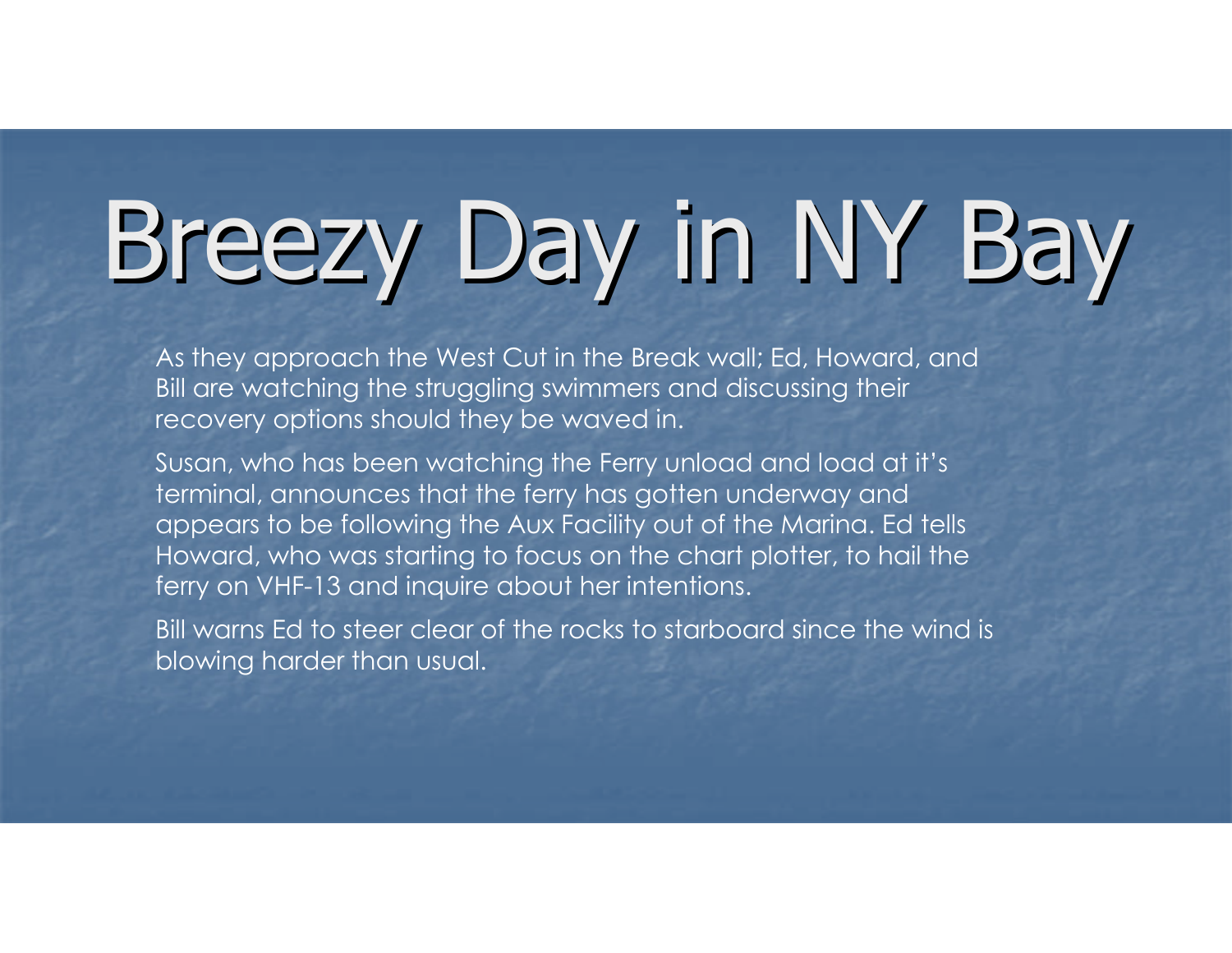As they approach the West Cut in the Break wall; Ed, Howard, andBill are watching the struggling swimmers and discussing their recovery options should they be waved in.

Susan, who has been watching the Ferry unload and load at it's terminal, announces that the ferry has gotten underway and appears to be following the Aux Facility out of the Marina. Ed tells Howard, who was starting to focus on the chart plotter, to hail the ferry on VHF-13 and inquire about her intentions.

Bill warns Ed to steer clear of the rocks to starboard since the wind is blowing harder than usual.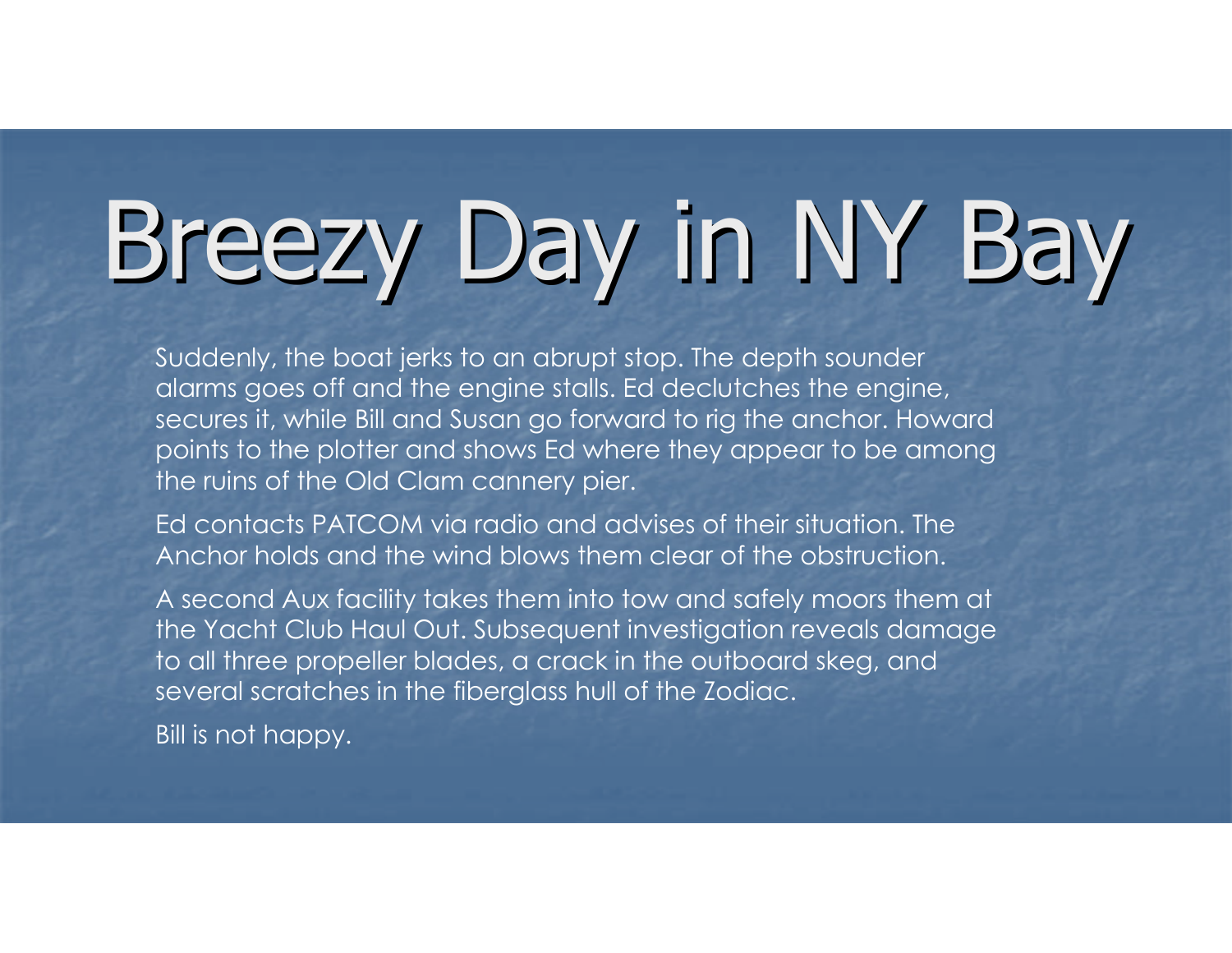Suddenly, the boat jerks to an abrupt stop. The depth sounder alarms goes off and the engine stalls. Ed declutches the engine, secures it, while Bill and Susan go forward to rig the anchor. Howard points to the plotter and shows Ed where they appear to be amongthe ruins of the Old Clam cannery pier.

Ed contacts PATCOM via radio and advises of their situation. TheAnchor holds and the wind blows them clear of the obstruction.

A second Aux facility takes them into tow and safely moors them at the Yacht Club Haul Out. Subsequent investigation reveals damageto all three propeller blades, a crack in the outboard skeg, and several scratches in the fiberglass hull of the Zodiac.

**Bill is not happy.**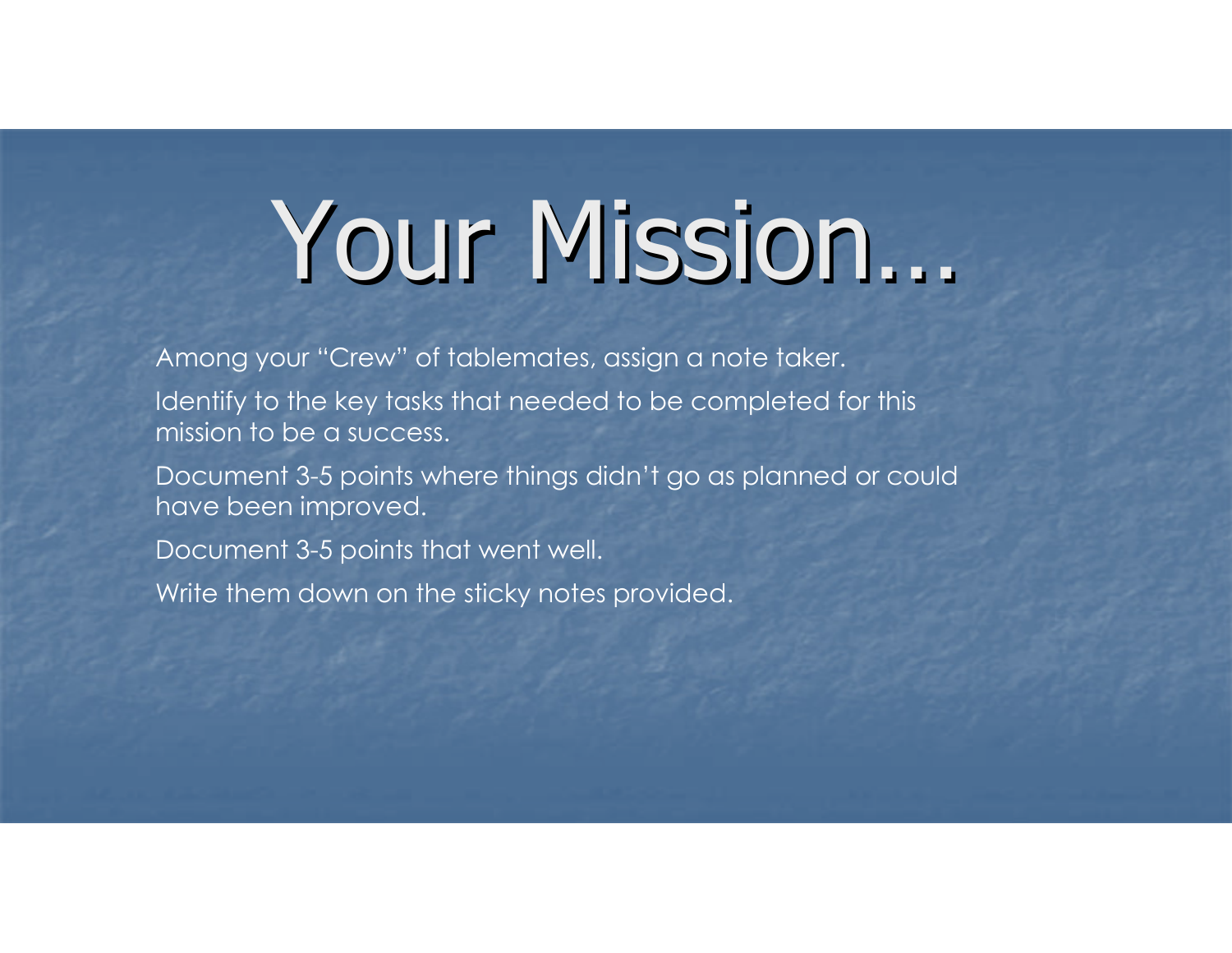## Your Mission…

Among your "Crew" of tablemates, assign a note taker.

Identify to the key tasks that needed to be completed for this mission to be a success.

Document 3-5 points where things didn't go as planned or could have been improved.

Document 3-5 points that went well.

Write them down on the sticky notes provided.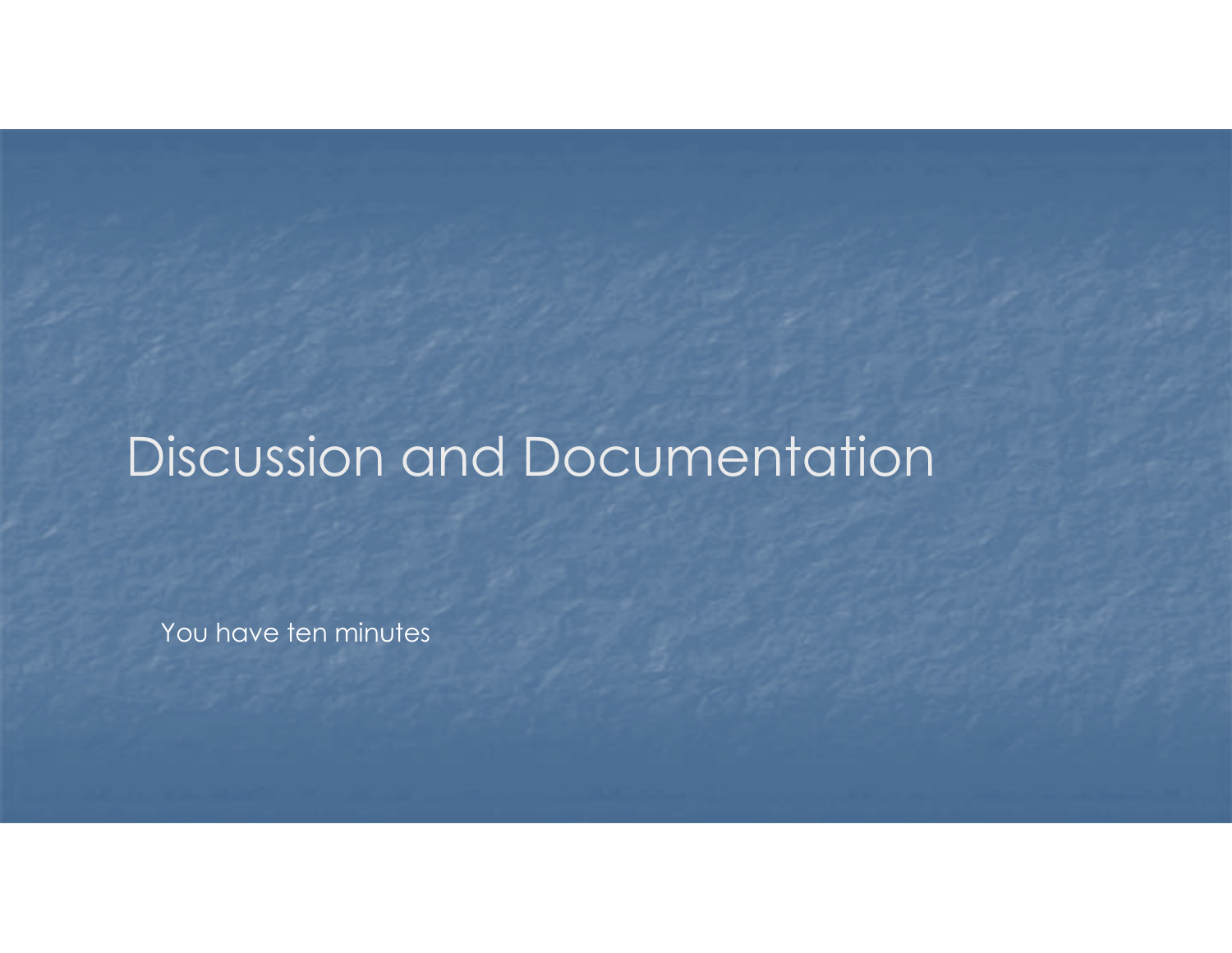### Discussion and Documentation

You have ten minutes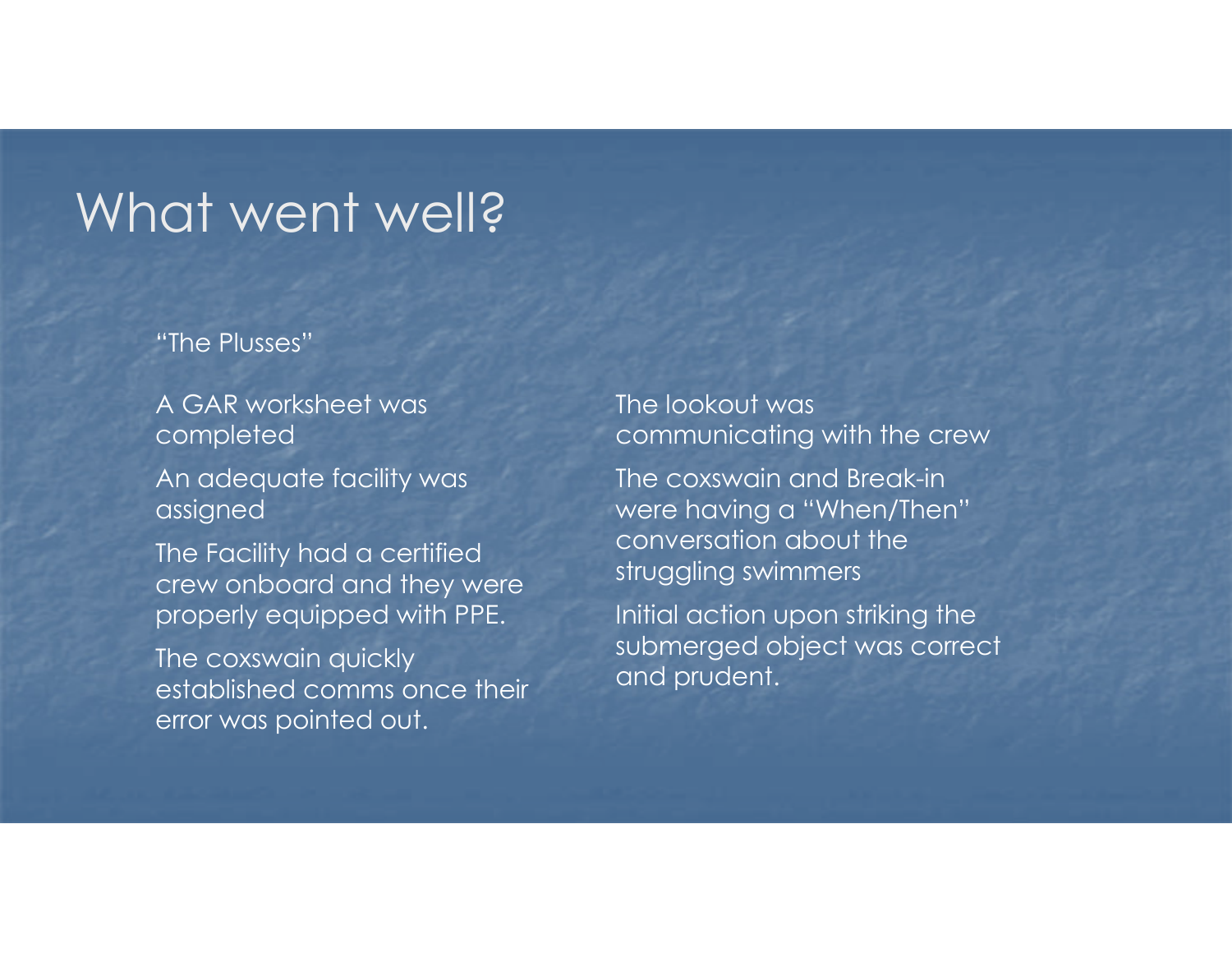#### What went well?

"The Plusses"

A GAR worksheet was completed

An adequate facility was assigned

The Facility had a certified crew onboard and they were properly equipped with PPE.

The coxswain quickly established comms once their error was pointed out.

The lookout was communicating with the crew

The coxswain and Break-in were having a "When/Then"conversation about the struggling swimmers

Initial action upon striking the submerged object was correct and prudent.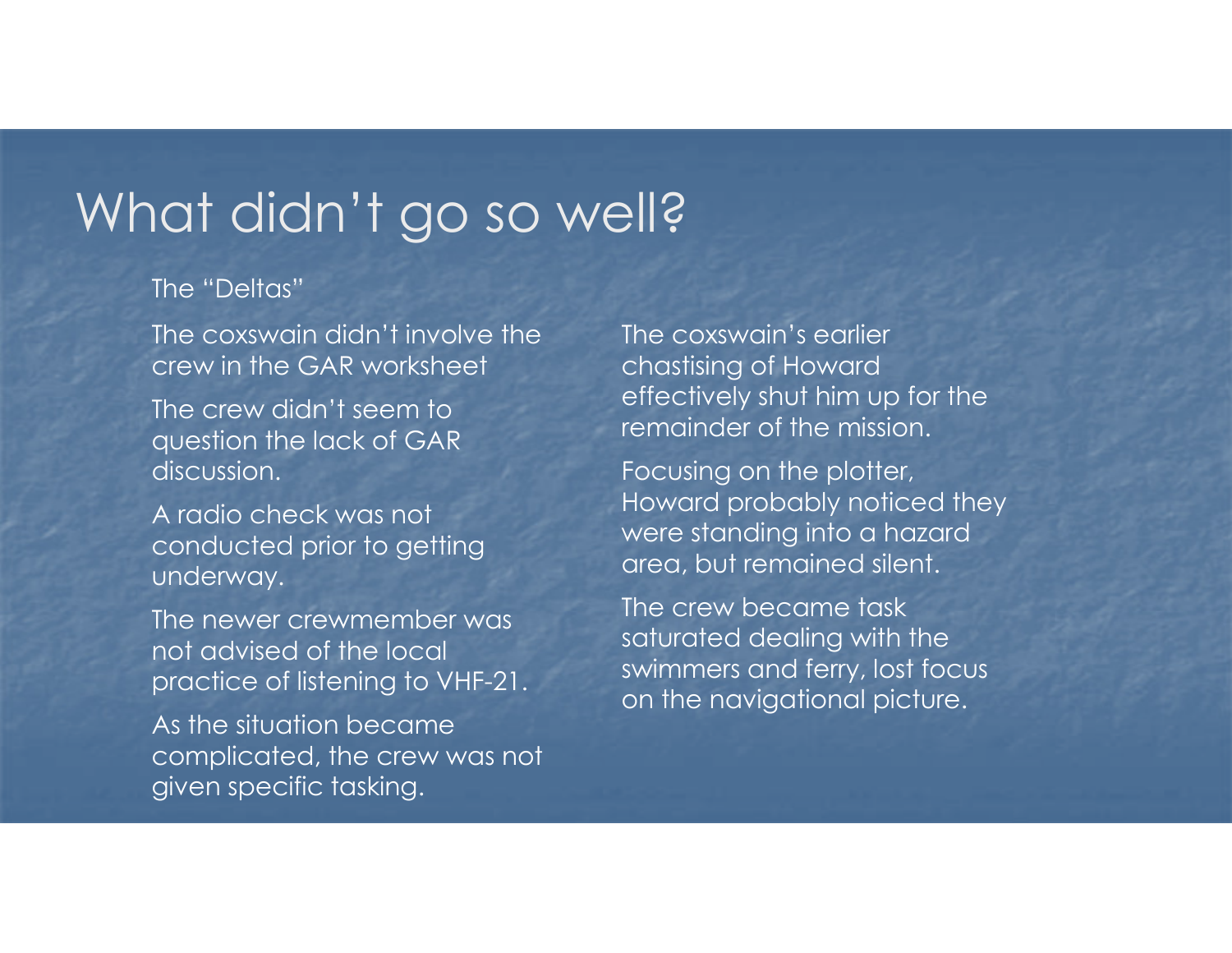### What didn't go so well?

#### The "Deltas"

The coxswain didn't involve the crew in the GAR worksheet

The crew didn't seem to question the lack of GAR discussion.

A radio check was not conducted prior to getting underway.

The newer crewmember was not advised of the local practice of listening to VHF-21.

As the situation became complicated, the crew was not given specific tasking.

The coxswain's earlier chastising of Howard effectively shut him up for the remainder of the mission.

Focusing on the plotter, Howard probably noticed they were standing into a hazard area, but remained silent.

The crew became task saturated dealing with the swimmers and ferry, lost focus on the navigational picture.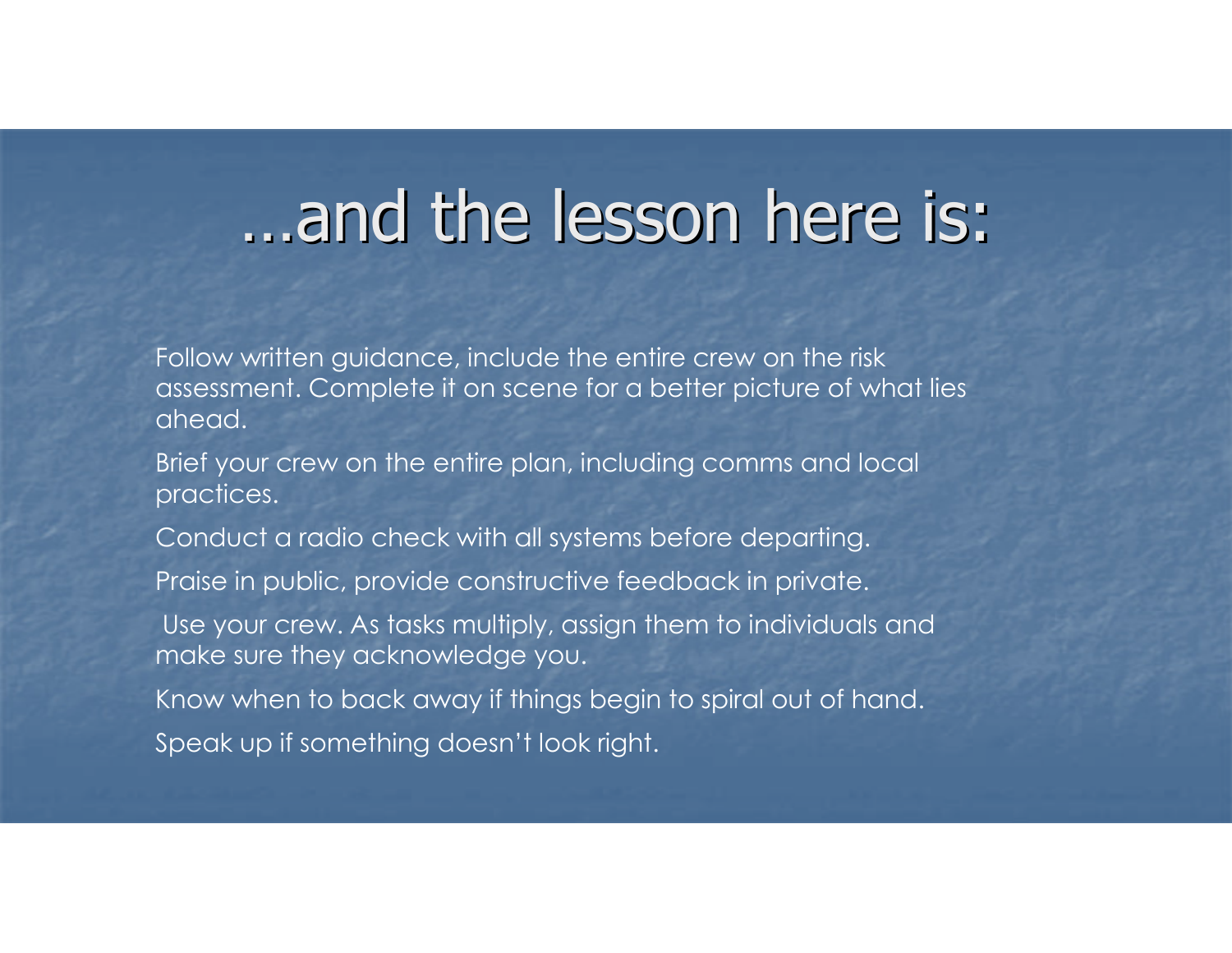### …and the lesson here is:

Follow written guidance, include the entire crew on the risk assessment. Complete it on scene for a better picture of what lies ahead.

Brief your crew on the entire plan, including comms and local practices.

Conduct a radio check with all systems before departing.

Praise in public, provide constructive feedback in private.

Use your crew. As tasks multiply, assign them to individuals and make sure they acknowledge you.

Know when to back away if things begin to spiral out of hand.Speak up if something doesn't look right.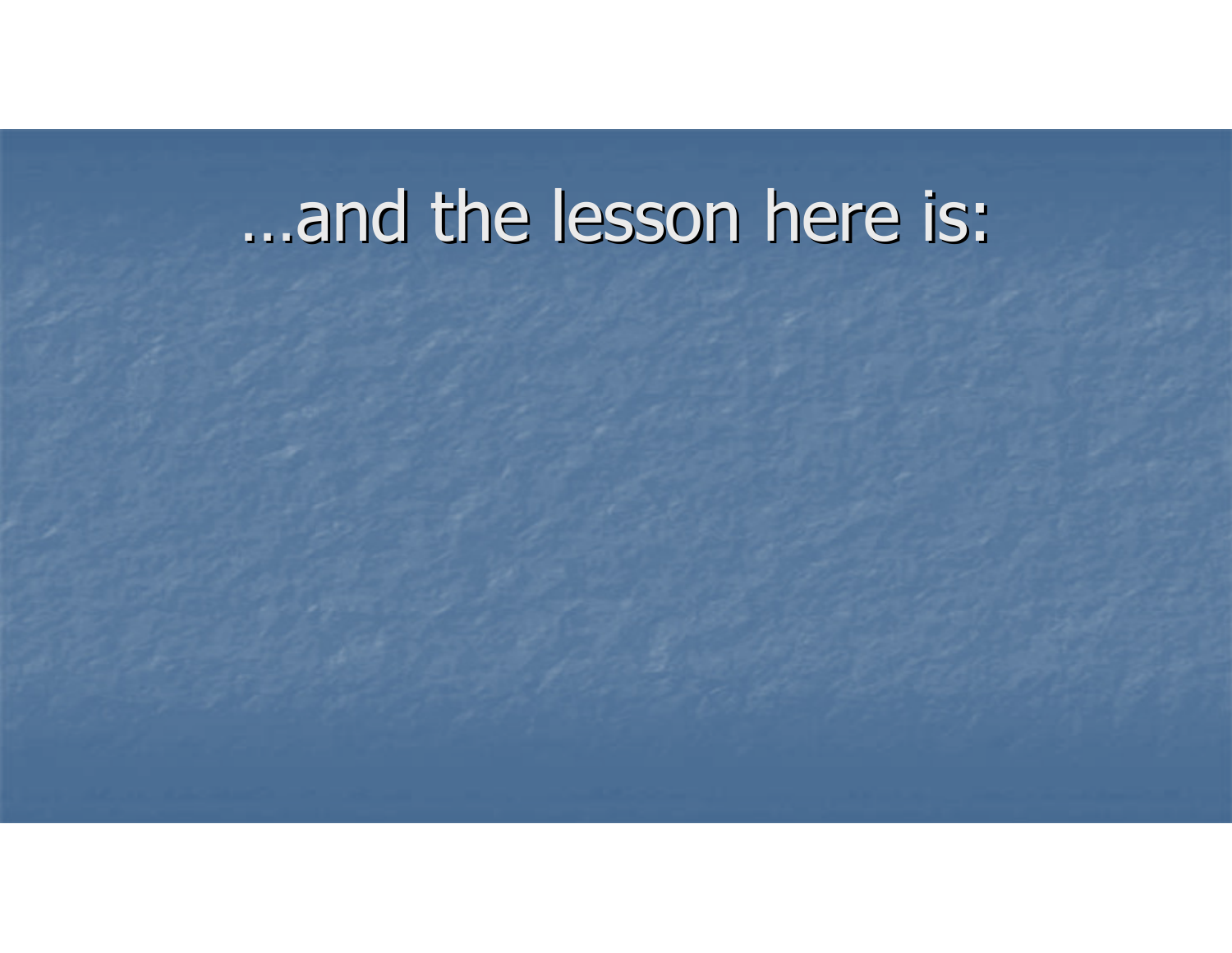## …and the lesson here is: